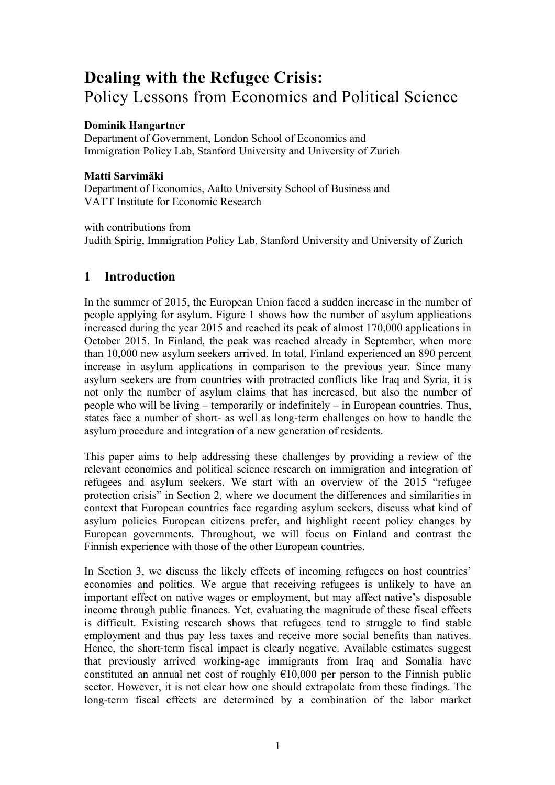# **Dealing with the Refugee Crisis:**  Policy Lessons from Economics and Political Science

# **Dominik Hangartner**

Department of Government, London School of Economics and Immigration Policy Lab, Stanford University and University of Zurich

# **Matti Sarvimäki**

Department of Economics, Aalto University School of Business and VATT Institute for Economic Research

with contributions from Judith Spirig, Immigration Policy Lab, Stanford University and University of Zurich

# **1 Introduction**

In the summer of 2015, the European Union faced a sudden increase in the number of people applying for asylum. Figure 1 shows how the number of asylum applications increased during the year 2015 and reached its peak of almost 170,000 applications in October 2015. In Finland, the peak was reached already in September, when more than 10,000 new asylum seekers arrived. In total, Finland experienced an 890 percent increase in asylum applications in comparison to the previous year. Since many asylum seekers are from countries with protracted conflicts like Iraq and Syria, it is not only the number of asylum claims that has increased, but also the number of people who will be living – temporarily or indefinitely – in European countries. Thus, states face a number of short- as well as long-term challenges on how to handle the asylum procedure and integration of a new generation of residents.

This paper aims to help addressing these challenges by providing a review of the relevant economics and political science research on immigration and integration of refugees and asylum seekers. We start with an overview of the 2015 "refugee protection crisis" in Section 2, where we document the differences and similarities in context that European countries face regarding asylum seekers, discuss what kind of asylum policies European citizens prefer, and highlight recent policy changes by European governments. Throughout, we will focus on Finland and contrast the Finnish experience with those of the other European countries.

In Section 3, we discuss the likely effects of incoming refugees on host countries' economies and politics. We argue that receiving refugees is unlikely to have an important effect on native wages or employment, but may affect native's disposable income through public finances. Yet, evaluating the magnitude of these fiscal effects is difficult. Existing research shows that refugees tend to struggle to find stable employment and thus pay less taxes and receive more social benefits than natives. Hence, the short-term fiscal impact is clearly negative. Available estimates suggest that previously arrived working-age immigrants from Iraq and Somalia have constituted an annual net cost of roughly  $\epsilon$ 10,000 per person to the Finnish public sector. However, it is not clear how one should extrapolate from these findings. The long-term fiscal effects are determined by a combination of the labor market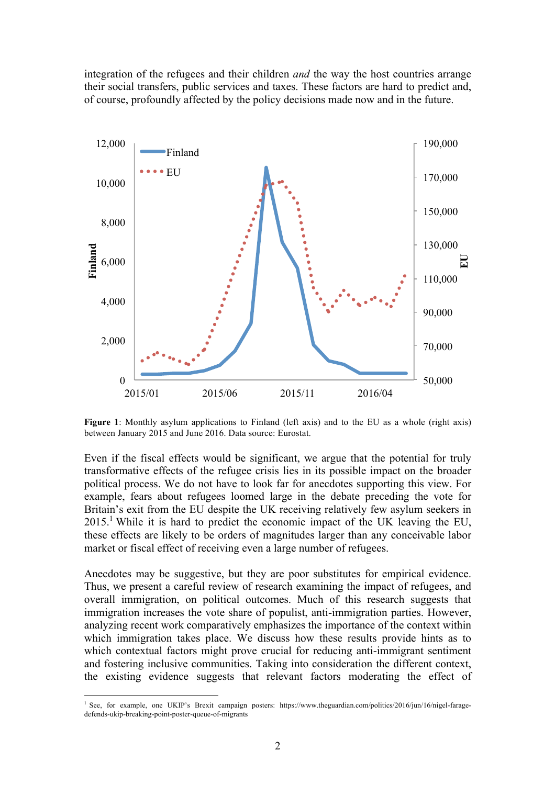integration of the refugees and their children *and* the way the host countries arrange their social transfers, public services and taxes. These factors are hard to predict and, of course, profoundly affected by the policy decisions made now and in the future.



Figure 1: Monthly asylum applications to Finland (left axis) and to the EU as a whole (right axis) between January 2015 and June 2016. Data source: Eurostat.

Even if the fiscal effects would be significant, we argue that the potential for truly transformative effects of the refugee crisis lies in its possible impact on the broader political process. We do not have to look far for anecdotes supporting this view. For example, fears about refugees loomed large in the debate preceding the vote for Britain's exit from the EU despite the UK receiving relatively few asylum seekers in  $2015<sup>1</sup>$  While it is hard to predict the economic impact of the UK leaving the EU, these effects are likely to be orders of magnitudes larger than any conceivable labor market or fiscal effect of receiving even a large number of refugees.

Anecdotes may be suggestive, but they are poor substitutes for empirical evidence. Thus, we present a careful review of research examining the impact of refugees, and overall immigration, on political outcomes. Much of this research suggests that immigration increases the vote share of populist, anti-immigration parties. However, analyzing recent work comparatively emphasizes the importance of the context within which immigration takes place. We discuss how these results provide hints as to which contextual factors might prove crucial for reducing anti-immigrant sentiment and fostering inclusive communities. Taking into consideration the different context, the existing evidence suggests that relevant factors moderating the effect of

 <sup>1</sup> See, for example, one UKIP's Brexit campaign posters: https://www.theguardian.com/politics/2016/jun/16/nigel-faragedefends-ukip-breaking-point-poster-queue-of-migrants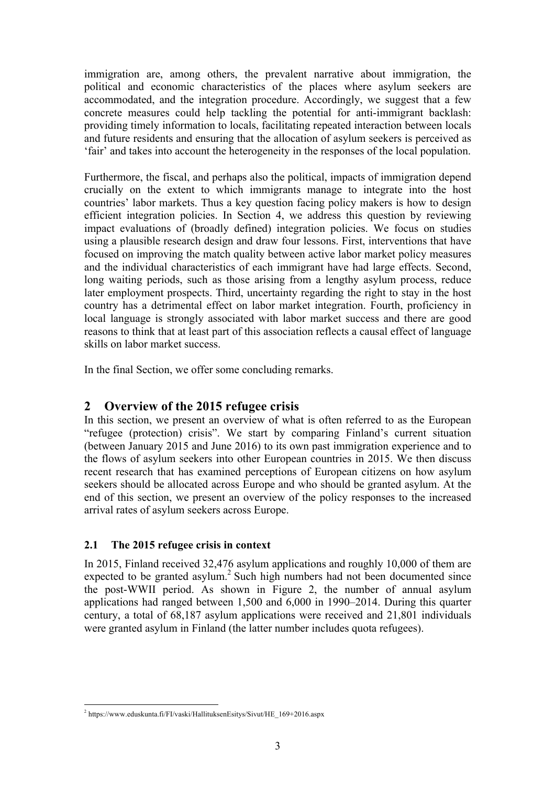immigration are, among others, the prevalent narrative about immigration, the political and economic characteristics of the places where asylum seekers are accommodated, and the integration procedure. Accordingly, we suggest that a few concrete measures could help tackling the potential for anti-immigrant backlash: providing timely information to locals, facilitating repeated interaction between locals and future residents and ensuring that the allocation of asylum seekers is perceived as 'fair' and takes into account the heterogeneity in the responses of the local population.

Furthermore, the fiscal, and perhaps also the political, impacts of immigration depend crucially on the extent to which immigrants manage to integrate into the host countries' labor markets. Thus a key question facing policy makers is how to design efficient integration policies. In Section 4, we address this question by reviewing impact evaluations of (broadly defined) integration policies. We focus on studies using a plausible research design and draw four lessons. First, interventions that have focused on improving the match quality between active labor market policy measures and the individual characteristics of each immigrant have had large effects. Second, long waiting periods, such as those arising from a lengthy asylum process, reduce later employment prospects. Third, uncertainty regarding the right to stay in the host country has a detrimental effect on labor market integration. Fourth, proficiency in local language is strongly associated with labor market success and there are good reasons to think that at least part of this association reflects a causal effect of language skills on labor market success.

In the final Section, we offer some concluding remarks.

# **2 Overview of the 2015 refugee crisis**

In this section, we present an overview of what is often referred to as the European "refugee (protection) crisis". We start by comparing Finland's current situation (between January 2015 and June 2016) to its own past immigration experience and to the flows of asylum seekers into other European countries in 2015. We then discuss recent research that has examined perceptions of European citizens on how asylum seekers should be allocated across Europe and who should be granted asylum. At the end of this section, we present an overview of the policy responses to the increased arrival rates of asylum seekers across Europe.

# **2.1 The 2015 refugee crisis in context**

In 2015, Finland received 32,476 asylum applications and roughly 10,000 of them are expected to be granted asylum. <sup>2</sup> Such high numbers had not been documented since the post-WWII period. As shown in Figure 2, the number of annual asylum applications had ranged between 1,500 and 6,000 in 1990–2014. During this quarter century, a total of 68,187 asylum applications were received and 21,801 individuals were granted asylum in Finland (the latter number includes quota refugees).

 <sup>2</sup> https://www.eduskunta.fi/FI/vaski/HallituksenEsitys/Sivut/HE\_169+2016.aspx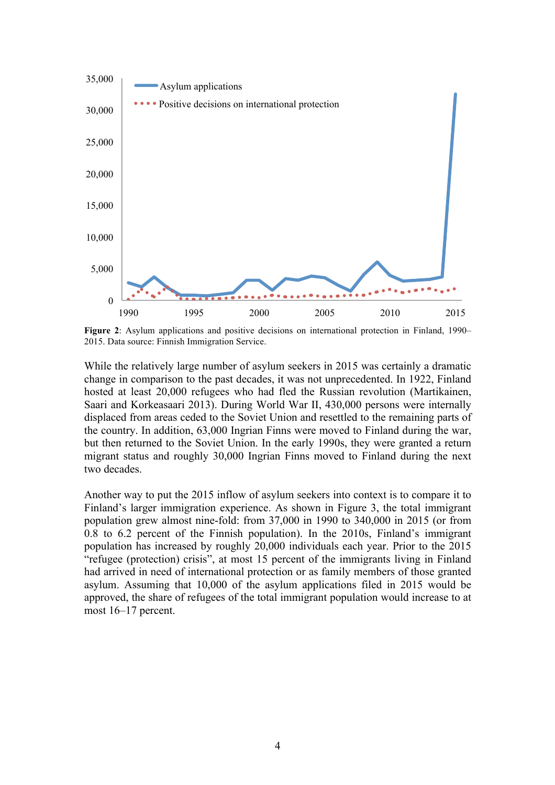

**Figure 2**: Asylum applications and positive decisions on international protection in Finland, 1990– 2015. Data source: Finnish Immigration Service.

While the relatively large number of asylum seekers in 2015 was certainly a dramatic change in comparison to the past decades, it was not unprecedented. In 1922, Finland hosted at least 20,000 refugees who had fled the Russian revolution (Martikainen, Saari and Korkeasaari 2013). During World War II, 430,000 persons were internally displaced from areas ceded to the Soviet Union and resettled to the remaining parts of the country. In addition, 63,000 Ingrian Finns were moved to Finland during the war, but then returned to the Soviet Union. In the early 1990s, they were granted a return migrant status and roughly 30,000 Ingrian Finns moved to Finland during the next two decades.

Another way to put the 2015 inflow of asylum seekers into context is to compare it to Finland's larger immigration experience. As shown in Figure 3, the total immigrant population grew almost nine-fold: from 37,000 in 1990 to 340,000 in 2015 (or from 0.8 to 6.2 percent of the Finnish population). In the 2010s, Finland's immigrant population has increased by roughly 20,000 individuals each year. Prior to the 2015 "refugee (protection) crisis", at most 15 percent of the immigrants living in Finland had arrived in need of international protection or as family members of those granted asylum. Assuming that 10,000 of the asylum applications filed in 2015 would be approved, the share of refugees of the total immigrant population would increase to at most 16–17 percent.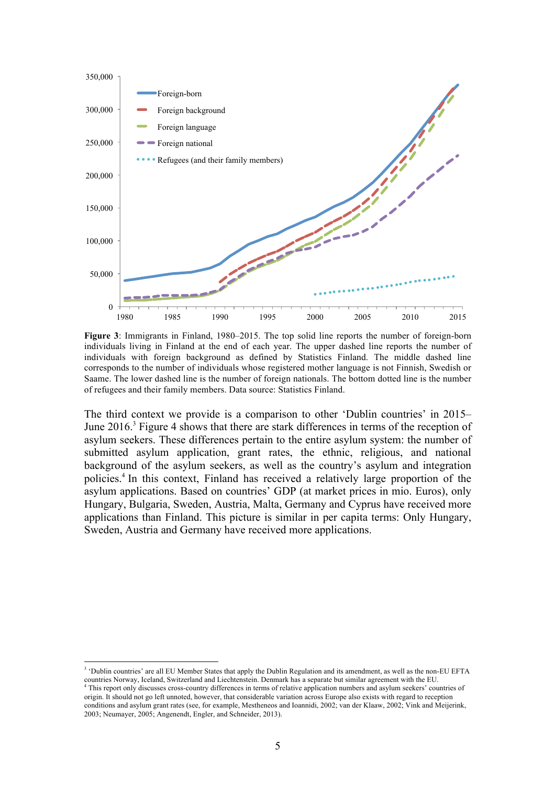

**Figure 3**: Immigrants in Finland, 1980–2015. The top solid line reports the number of foreign-born individuals living in Finland at the end of each year. The upper dashed line reports the number of individuals with foreign background as defined by Statistics Finland. The middle dashed line corresponds to the number of individuals whose registered mother language is not Finnish, Swedish or Saame. The lower dashed line is the number of foreign nationals. The bottom dotted line is the number of refugees and their family members. Data source: Statistics Finland.

The third context we provide is a comparison to other 'Dublin countries' in 2015– June 2016.<sup>3</sup> Figure 4 shows that there are stark differences in terms of the reception of asylum seekers. These differences pertain to the entire asylum system: the number of submitted asylum application, grant rates, the ethnic, religious, and national background of the asylum seekers, as well as the country's asylum and integration policies.4 In this context, Finland has received a relatively large proportion of the asylum applications. Based on countries' GDP (at market prices in mio. Euros), only Hungary, Bulgaria, Sweden, Austria, Malta, Germany and Cyprus have received more applications than Finland. This picture is similar in per capita terms: Only Hungary, Sweden, Austria and Germany have received more applications.

<sup>&</sup>lt;sup>3</sup> 'Dublin countries' are all EU Member States that apply the Dublin Regulation and its amendment, as well as the non-EU EFTA countries Norway, Iceland, Switzerland and Liechtenstein. Denmark has a separate but similar agreement with the EU.

<sup>4</sup> This report only discusses cross-country differences in terms of relative application numbers and asylum seekers' countries of origin. It should not go left unnoted, however, that considerable variation across Europe also exists with regard to reception conditions and asylum grant rates (see, for example, Mestheneos and Ioannidi, 2002; van der Klaaw, 2002; Vink and Meijerink, 2003; Neumayer, 2005; Angenendt, Engler, and Schneider, 2013).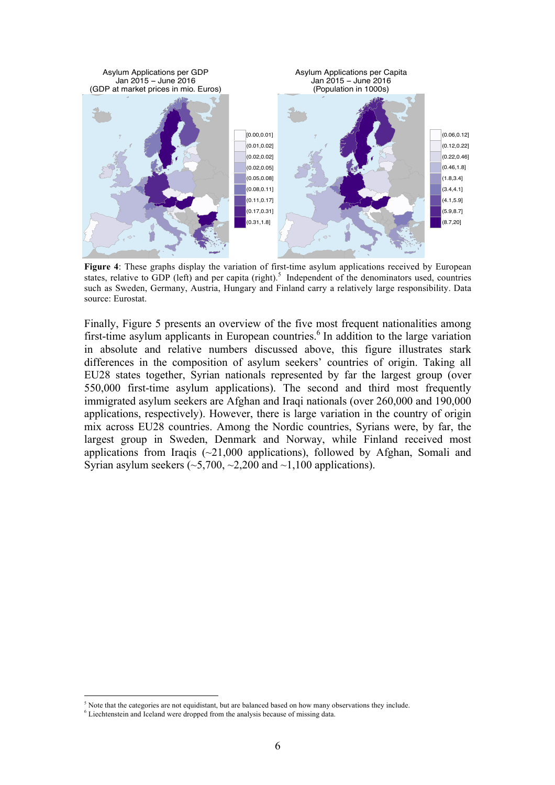

**Figure 4**: These graphs display the variation of first-time asylum applications received by European states, relative to GDP (left) and per capita (right).<sup>5</sup> Independent of the denominators used, countries such as Sweden, Germany, Austria, Hungary and Finland carry a relatively large responsibility. Data source: Eurostat.

Finally, Figure 5 presents an overview of the five most frequent nationalities among first-time asylum applicants in European countries.<sup>6</sup> In addition to the large variation in absolute and relative numbers discussed above, this figure illustrates stark differences in the composition of asylum seekers' countries of origin. Taking all EU28 states together, Syrian nationals represented by far the largest group (over 550,000 first-time asylum applications). The second and third most frequently immigrated asylum seekers are Afghan and Iraqi nationals (over 260,000 and 190,000 applications, respectively). However, there is large variation in the country of origin mix across EU28 countries. Among the Nordic countries, Syrians were, by far, the largest group in Sweden, Denmark and Norway, while Finland received most applications from Iraqis  $(\sim 21,000)$  applications), followed by Afghan, Somali and Syrian asylum seekers  $(\sim 5,700, \sim 2,200$  and  $\sim 1,100$  applications).

 $<sup>5</sup>$  Note that the categories are not equidistant, but are balanced based on how many observations they include.</sup>

<sup>&</sup>lt;sup>6</sup> Liechtenstein and Iceland were dropped from the analysis because of missing data.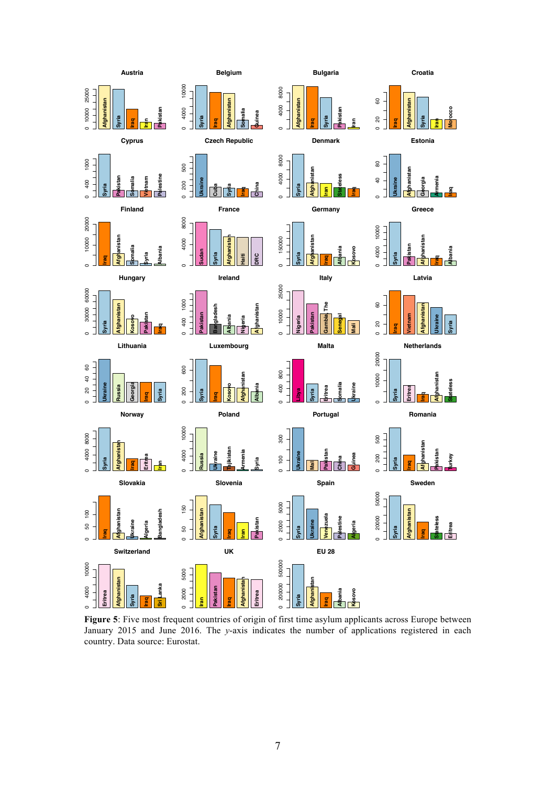

**Figure 5**: Five most frequent countries of origin of first time asylum applicants across Europe between January 2015 and June 2016. The *y*-axis indicates the number of applications registered in each country. Data source: Eurostat.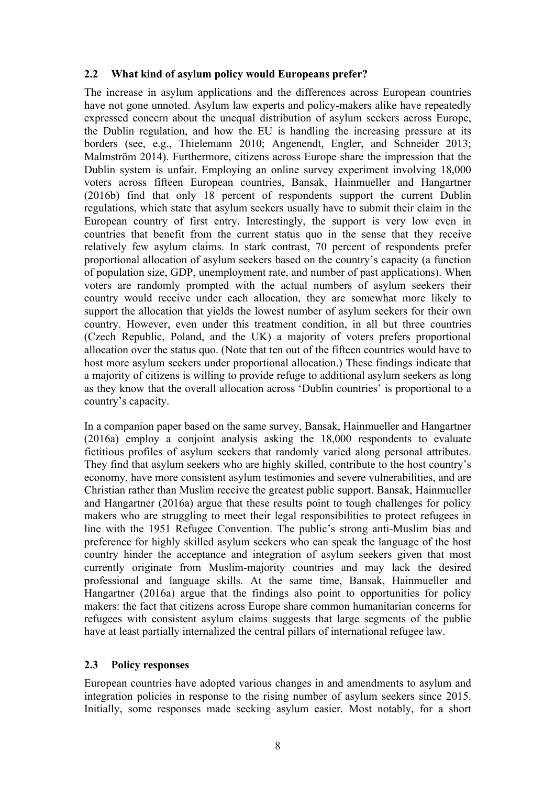## **2.2 What kind of asylum policy would Europeans prefer?**

The increase in asylum applications and the differences across European countries have not gone unnoted. Asylum law experts and policy-makers alike have repeatedly expressed concern about the unequal distribution of asylum seekers across Europe, the Dublin regulation, and how the EU is handling the increasing pressure at its borders (see, e.g., Thielemann 2010; Angenendt, Engler, and Schneider 2013; Malmström 2014). Furthermore, citizens across Europe share the impression that the Dublin system is unfair. Employing an online survey experiment involving 18,000 voters across fifteen European countries, Bansak, Hainmueller and Hangartner (2016b) find that only 18 percent of respondents support the current Dublin regulations, which state that asylum seekers usually have to submit their claim in the European country of first entry. Interestingly, the support is very low even in countries that benefit from the current status quo in the sense that they receive relatively few asylum claims. In stark contrast, 70 percent of respondents prefer proportional allocation of asylum seekers based on the country's capacity (a function of population size, GDP, unemployment rate, and number of past applications). When voters are randomly prompted with the actual numbers of asylum seekers their country would receive under each allocation, they are somewhat more likely to support the allocation that yields the lowest number of asylum seekers for their own country. However, even under this treatment condition, in all but three countries (Czech Republic, Poland, and the UK) a majority of voters prefers proportional allocation over the status quo. (Note that ten out of the fifteen countries would have to host more asylum seekers under proportional allocation.) These findings indicate that a majority of citizens is willing to provide refuge to additional asylum seekers as long as they know that the overall allocation across 'Dublin countries' is proportional to a country's capacity.

In a companion paper based on the same survey, Bansak, Hainmueller and Hangartner (2016a) employ a conjoint analysis asking the 18,000 respondents to evaluate fictitious profiles of asylum seekers that randomly varied along personal attributes. They find that asylum seekers who are highly skilled, contribute to the host country's economy, have more consistent asylum testimonies and severe vulnerabilities, and are Christian rather than Muslim receive the greatest public support. Bansak, Hainmueller and Hangartner (2016a) argue that these results point to tough challenges for policy makers who are struggling to meet their legal responsibilities to protect refugees in line with the 1951 Refugee Convention. The public's strong anti-Muslim bias and preference for highly skilled asylum seekers who can speak the language of the host country hinder the acceptance and integration of asylum seekers given that most currently originate from Muslim-majority countries and may lack the desired professional and language skills. At the same time, Bansak, Hainmueller and Hangartner (2016a) argue that the findings also point to opportunities for policy makers: the fact that citizens across Europe share common humanitarian concerns for refugees with consistent asylum claims suggests that large segments of the public have at least partially internalized the central pillars of international refugee law.

# **2.3 Policy responses**

European countries have adopted various changes in and amendments to asylum and integration policies in response to the rising number of asylum seekers since 2015. Initially, some responses made seeking asylum easier. Most notably, for a short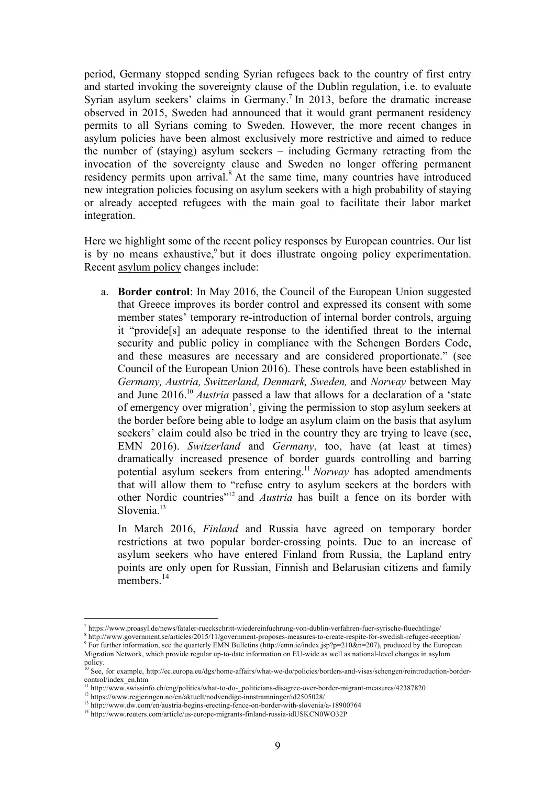period, Germany stopped sending Syrian refugees back to the country of first entry and started invoking the sovereignty clause of the Dublin regulation, i.e. to evaluate Syrian asylum seekers' claims in Germany.<sup>7</sup> In 2013, before the dramatic increase observed in 2015, Sweden had announced that it would grant permanent residency permits to all Syrians coming to Sweden. However, the more recent changes in asylum policies have been almost exclusively more restrictive and aimed to reduce the number of (staying) asylum seekers – including Germany retracting from the invocation of the sovereignty clause and Sweden no longer offering permanent residency permits upon arrival.<sup>8</sup> At the same time, many countries have introduced new integration policies focusing on asylum seekers with a high probability of staying or already accepted refugees with the main goal to facilitate their labor market integration.

Here we highlight some of the recent policy responses by European countries. Our list is by no means exhaustive,<sup>9</sup> but it does illustrate ongoing policy experimentation. Recent asylum policy changes include:

a. **Border control**: In May 2016, the Council of the European Union suggested that Greece improves its border control and expressed its consent with some member states' temporary re-introduction of internal border controls, arguing it "provide[s] an adequate response to the identified threat to the internal security and public policy in compliance with the Schengen Borders Code, and these measures are necessary and are considered proportionate." (see Council of the European Union 2016). These controls have been established in *Germany, Austria, Switzerland, Denmark, Sweden,* and *Norway* between May and June 2016. <sup>10</sup> *Austria* passed a law that allows for a declaration of a 'state of emergency over migration', giving the permission to stop asylum seekers at the border before being able to lodge an asylum claim on the basis that asylum seekers' claim could also be tried in the country they are trying to leave (see, EMN 2016). *Switzerland* and *Germany*, too, have (at least at times) dramatically increased presence of border guards controlling and barring potential asylum seekers from entering. <sup>11</sup> *Norway* has adopted amendments that will allow them to "refuse entry to asylum seekers at the borders with other Nordic countries"12 and *Austria* has built a fence on its border with Slovenia $13$ 

In March 2016, *Finland* and Russia have agreed on temporary border restrictions at two popular border-crossing points. Due to an increase of asylum seekers who have entered Finland from Russia, the Lapland entry points are only open for Russian, Finnish and Belarusian citizens and family members.<sup>14</sup>

 <sup>7</sup> https://www.proasyl.de/news/fataler-rueckschritt-wiedereinfuehrung-von-dublin-verfahren-fuer-syrische-fluechtlinge/

<sup>8</sup> http://www.government.se/articles/2015/11/government-proposes-measures-to-create-respite-for-swedish-refugee-reception/  $9$  For further information, see the quarterly EMN Bulletins (http://emn.ie/index.jsp?p=210&n=207), produced by the European Migration Network, which provide regular up-to-date information on EU-wide as well as national-level changes in asylum policy.

<sup>10</sup> See, for example, http://ec.europa.eu/dgs/home-affairs/what-we-do/policies/borders-and-visas/schengen/reintroduction-bordercontrol/index\_en.htm

<sup>11</sup> http://www.swissinfo.ch/eng/politics/what-to-do-\_politicians-disagree-over-border-migrant-measures/42387820

<sup>&</sup>lt;sup>12</sup> https://www.regjeringen.no/en/aktuelt/nodvendige-innstramninger/id2505028/

<sup>&</sup>lt;sup>13</sup> http://www.dw.com/en/austria-begins-erecting-fence-on-border-with-slovenia/a-18900764

<sup>&</sup>lt;sup>14</sup> http://www.reuters.com/article/us-europe-migrants-finland-russia-idUSKCN0WO32P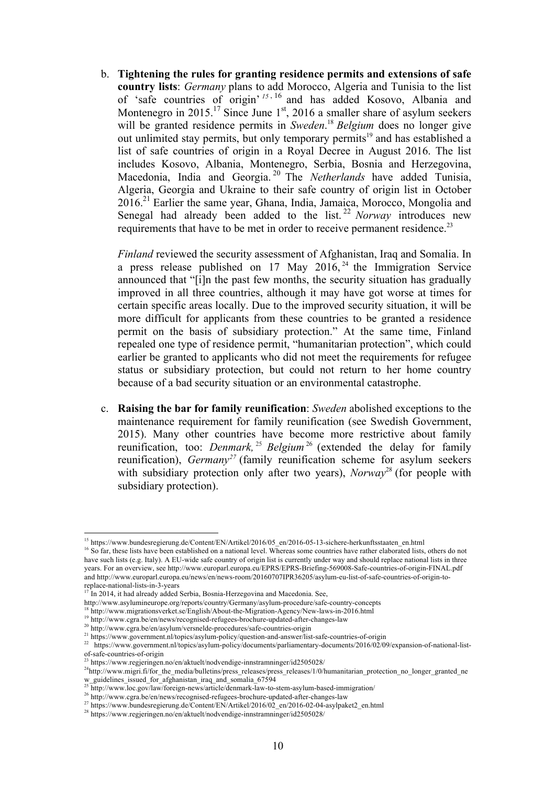b. **Tightening the rules for granting residence permits and extensions of safe country lists**: *Germany* plans to add Morocco, Algeria and Tunisia to the list of 'safe countries of origin' *<sup>15</sup>* , <sup>16</sup> and has added Kosovo, Albania and Montenegro in  $2015$ .<sup>17</sup> Since June 1<sup>st</sup>, 2016 a smaller share of asylum seekers will be granted residence permits in *Sweden*. <sup>18</sup> *Belgium* does no longer give out unlimited stay permits, but only temporary permits<sup>19</sup> and has established a list of safe countries of origin in a Royal Decree in August 2016. The list includes Kosovo, Albania, Montenegro, Serbia, Bosnia and Herzegovina, Macedonia, India and Georgia. <sup>20</sup> The *Netherlands* have added Tunisia, Algeria, Georgia and Ukraine to their safe country of origin list in October  $2016<sup>21</sup>$  Earlier the same year, Ghana, India, Jamaica, Morocco, Mongolia and Senegal had already been added to the list.<sup>22</sup> *Norway* introduces new requirements that have to be met in order to receive permanent residence.<sup>23</sup>

*Finland* reviewed the security assessment of Afghanistan, Iraq and Somalia. In a press release published on 17 May  $2016$ ,  $24$  the Immigration Service announced that "[i]n the past few months, the security situation has gradually improved in all three countries, although it may have got worse at times for certain specific areas locally. Due to the improved security situation, it will be more difficult for applicants from these countries to be granted a residence permit on the basis of subsidiary protection." At the same time, Finland repealed one type of residence permit, "humanitarian protection", which could earlier be granted to applicants who did not meet the requirements for refugee status or subsidiary protection, but could not return to her home country because of a bad security situation or an environmental catastrophe.

c. **Raising the bar for family reunification**: *Sweden* abolished exceptions to the maintenance requirement for family reunification (see Swedish Government, 2015). Many other countries have become more restrictive about family reunification, too: *Denmark,* <sup>25</sup> *Belgium* <sup>26</sup> (extended the delay for family reunification), *Germany*<sup>27</sup> (family reunification scheme for asylum seekers with subsidiary protection only after two years), *Norway*<sup>28</sup> (for people with subsidiary protection).

 <sup>15</sup> https://www.bundesregierung.de/Content/EN/Artikel/2016/05\_en/2016-05-13-sichere-herkunftsstaaten\_en.html

<sup>&</sup>lt;sup>16</sup> So far, these lists have been established on a national level. Whereas some countries have rather elaborated lists, others do not have such lists (e.g. Italy). A EU-wide safe country of origin list is currently under way and should replace national lists in three years. For an overview, see http://www.europarl.europa.eu/EPRS/EPRS-Briefing-569008-Safe-countries-of-origin-FINAL.pdf and http://www.europarl.europa.eu/news/en/news-room/20160707IPR36205/asylum-eu-list-of-safe-countries-of-origin-toreplace-national-lists-in-3-years

 $17$  In 2014, it had already added Serbia, Bosnia-Herzegovina and Macedonia. See,

http://www.asylumineurope.org/reports/country/Germany/asylum-procedure/safe-country-concepts 18 http://www.migrationsverket.se/English/About-the-Migration-Agency/New-laws-in-2016.html

<sup>&</sup>lt;sup>19</sup> http://www.cgra.be/en/news/recognised-refugees-brochure-updated-after-changes-law

<sup>&</sup>lt;sup>20</sup> http://www.cgra.be/en/asylum/versnelde-procedures/safe-countries-origin

<sup>&</sup>lt;sup>21</sup> https://www.government.nl/topics/asylum-policy/question-and-answer/list-safe-countries-of-origin<br><sup>22</sup> https://www.government.nl/topics/asylum-policy/destines-tangedian external despite the 2016/02/00 <sup>22</sup> https://www.government.nl/topics/asylum-policy/documents/parliamentary-documents/2016/02/09/expansion-of-national-listof-safe-countries-of-origin

 $^{23}$  https://www.regieringen.no/en/aktuelt/nodvendige-innstramninger/id2505028/

<sup>&</sup>lt;sup>24</sup>http://www.migri.fi/for\_the\_media/bulletins/press\_releases/press\_releases/1/0/humanitarian\_protection\_no\_longer\_granted\_ne w\_guidelines\_issued\_for\_afghanistan\_iraq\_and\_somalia\_67594

<sup>&</sup>lt;sup>25</sup> http://www.loc.gov/law/foreign-news/article/denmark-law-to-stem-asylum-based-immigration/

<sup>26</sup> http://www.cgra.be/en/news/recognised-refugees-brochure-updated-after-changes-law

<sup>27</sup> https://www.bundesregierung.de/Content/EN/Artikel/2016/02\_en/2016-02-04-asylpaket2\_en.html

<sup>28</sup> https://www.regjeringen.no/en/aktuelt/nodvendige-innstramninger/id2505028/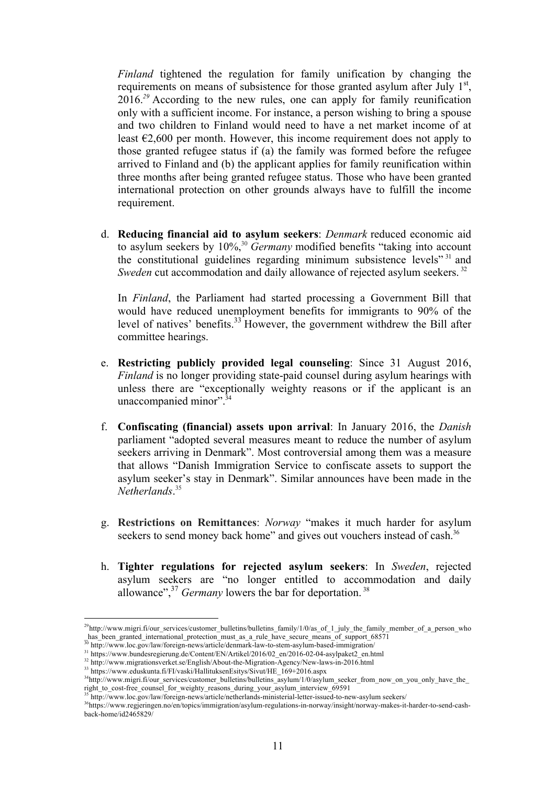*Finland* tightened the regulation for family unification by changing the requirements on means of subsistence for those granted asylum after July  $1<sup>st</sup>$ , 2016. *<sup>29</sup>* According to the new rules, one can apply for family reunification only with a sufficient income. For instance, a person wishing to bring a spouse and two children to Finland would need to have a net market income of at least  $\epsilon$ 2,600 per month. However, this income requirement does not apply to those granted refugee status if (a) the family was formed before the refugee arrived to Finland and (b) the applicant applies for family reunification within three months after being granted refugee status. Those who have been granted international protection on other grounds always have to fulfill the income requirement.

d. **Reducing financial aid to asylum seekers**: *Denmark* reduced economic aid to asylum seekers by 10%, <sup>30</sup> *Germany* modified benefits "taking into account the constitutional guidelines regarding minimum subsistence levels" <sup>31</sup> and *Sweden* cut accommodation and daily allowance of rejected asylum seekers.<sup>32</sup>

In *Finland*, the Parliament had started processing a Government Bill that would have reduced unemployment benefits for immigrants to 90% of the level of natives' benefits.<sup>33</sup> However, the government withdrew the Bill after committee hearings.

- e. **Restricting publicly provided legal counseling**: Since 31 August 2016, *Finland* is no longer providing state-paid counsel during asylum hearings with unless there are "exceptionally weighty reasons or if the applicant is an unaccompanied minor".<sup>34</sup>
- f. **Confiscating (financial) assets upon arrival**: In January 2016, the *Danish*  parliament "adopted several measures meant to reduce the number of asylum seekers arriving in Denmark". Most controversial among them was a measure that allows "Danish Immigration Service to confiscate assets to support the asylum seeker's stay in Denmark". Similar announces have been made in the *Netherlands*. 35
- g. **Restrictions on Remittances**: *Norway* "makes it much harder for asylum seekers to send money back home" and gives out vouchers instead of cash.<sup>36</sup>
- h. **Tighter regulations for rejected asylum seekers**: In *Sweden*, rejected asylum seekers are "no longer entitled to accommodation and daily allowance", $37$  *Germany* lowers the bar for deportation.  $38$

<sup>&</sup>lt;sup>29</sup>http://www.migri.fi/our\_services/customer\_bulletins/bulletins\_family/1/0/as\_of\_1\_july\_the\_family\_member\_of\_a\_person\_who \_has\_been\_granted\_international\_protection\_must\_as\_a\_rule\_have\_secure\_means\_of\_support\_68571

<sup>&</sup>lt;sup>3</sup> http://www.loc.gov/law/foreign-news/article/denmark-law-to-stem-asylum-based-immigration/

<sup>&</sup>lt;sup>31</sup> https://www.bundesregierung.de/Content/EN/Artikel/2016/02\_en/2016-02-04-asylpaket2\_en.html

<sup>&</sup>lt;sup>32</sup> http://www.migrationsverket.se/English/About-the-Migration-Agency/New-laws-in-2016.html

<sup>33</sup> https://www.eduskunta.fi/FI/vaski/HallituksenEsitys/Sivut/HE\_169+2016.aspx

<sup>&</sup>lt;sup>34</sup>http://www.migri.fi/our\_services/customer\_bulletins/bulletins\_asylum/1/0/asylum\_seeker\_from\_now\_on\_you\_only\_have\_the\_ right to cost-free counsel for weighty reasons during your asylum interview  $\overline{69591}$ 

<sup>35</sup> http://www.loc.gov/law/foreign-news/article/netherlands-ministerial-letter-issued-to-new-asylum seekers/

<sup>36</sup>https://www.regjeringen.no/en/topics/immigration/asylum-regulations-in-norway/insight/norway-makes-it-harder-to-send-cashback-home/id2465829/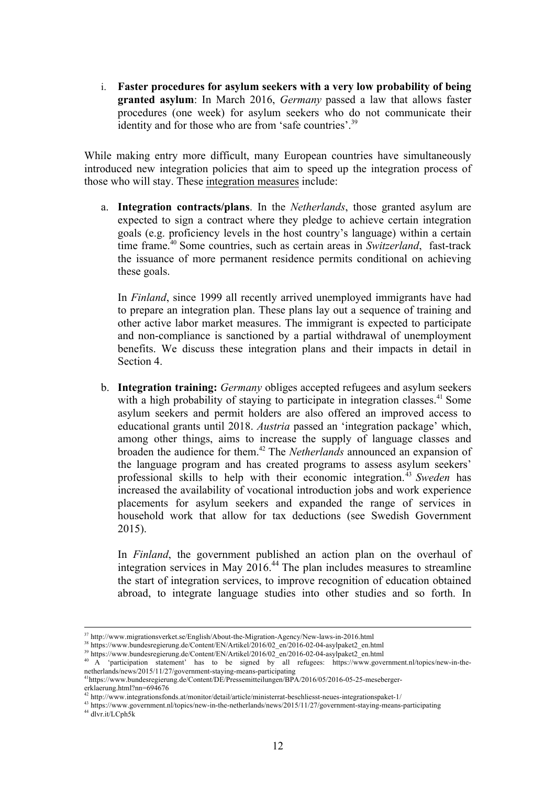i. **Faster procedures for asylum seekers with a very low probability of being granted asylum**: In March 2016, *Germany* passed a law that allows faster procedures (one week) for asylum seekers who do not communicate their identity and for those who are from 'safe countries'.<sup>39</sup>

While making entry more difficult, many European countries have simultaneously introduced new integration policies that aim to speed up the integration process of those who will stay. These integration measures include:

a. **Integration contracts/plans**. In the *Netherlands*, those granted asylum are expected to sign a contract where they pledge to achieve certain integration goals (e.g. proficiency levels in the host country's language) within a certain time frame.40 Some countries, such as certain areas in *Switzerland*, fast-track the issuance of more permanent residence permits conditional on achieving these goals.

In *Finland*, since 1999 all recently arrived unemployed immigrants have had to prepare an integration plan. These plans lay out a sequence of training and other active labor market measures. The immigrant is expected to participate and non-compliance is sanctioned by a partial withdrawal of unemployment benefits. We discuss these integration plans and their impacts in detail in Section 4.

b. **Integration training:** *Germany* obliges accepted refugees and asylum seekers with a high probability of staying to participate in integration classes.<sup>41</sup> Some asylum seekers and permit holders are also offered an improved access to educational grants until 2018. *Austria* passed an 'integration package' which, among other things, aims to increase the supply of language classes and broaden the audience for them.42 The *Netherlands* announced an expansion of the language program and has created programs to assess asylum seekers' professional skills to help with their economic integration. <sup>43</sup> *Sweden* has increased the availability of vocational introduction jobs and work experience placements for asylum seekers and expanded the range of services in household work that allow for tax deductions (see Swedish Government 2015).

In *Finland*, the government published an action plan on the overhaul of integration services in May 2016. <sup>44</sup> The plan includes measures to streamline the start of integration services, to improve recognition of education obtained abroad, to integrate language studies into other studies and so forth. In

<sup>44</sup> dlvr.it/LCph5k

 <sup>37</sup> http://www.migrationsverket.se/English/About-the-Migration-Agency/New-laws-in-2016.html

<sup>&</sup>lt;sup>38</sup> https://www.bundesregierung.de/Content/EN/Artikel/2016/02\_en/2016-02-04-asylpaket2\_en.html

<sup>&</sup>lt;sup>39</sup> https://www.bundesregierung.de/Content/EN/Artikel/2016/02\_en/2016-02-04-asylpaket2\_en.html

<sup>40</sup> A 'participation statement' has to be signed by all refugees: https://www.government.nl/topics/new-in-thenetherlands/news/2015/11/27/government-staying-means-participating

<sup>&</sup>lt;sup>1</sup>https://www.bundesregierung.de/Content/DE/Pressemitteilungen/BPA/2016/05/2016-05-25-mesebergererklaerung.html?nn=694676

 $42$  http://www.integrationsfonds.at/monitor/detail/article/ministerrat-beschliesst-neues-integrationspaket-1/

<sup>43</sup> https://www.government.nl/topics/new-in-the-netherlands/news/2015/11/27/government-staying-means-participating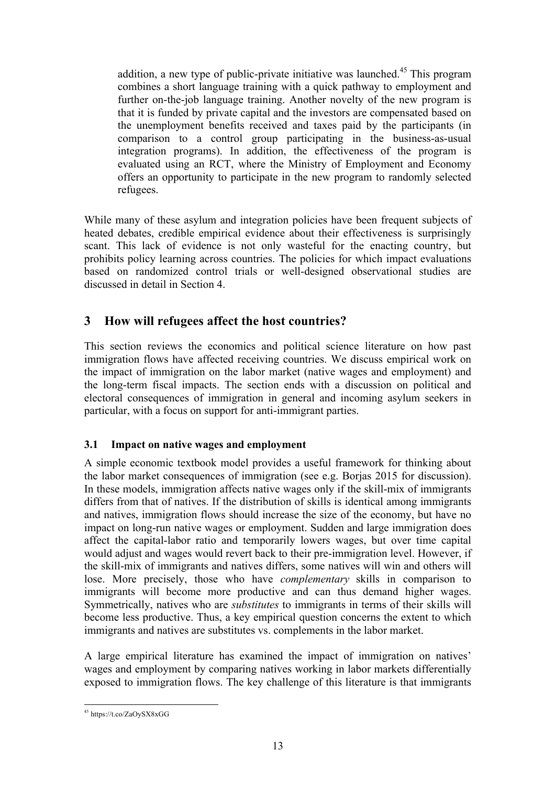addition, a new type of public-private initiative was launched.<sup>45</sup> This program combines a short language training with a quick pathway to employment and further on-the-job language training. Another novelty of the new program is that it is funded by private capital and the investors are compensated based on the unemployment benefits received and taxes paid by the participants (in comparison to a control group participating in the business-as-usual integration programs). In addition, the effectiveness of the program is evaluated using an RCT, where the Ministry of Employment and Economy offers an opportunity to participate in the new program to randomly selected refugees.

While many of these asylum and integration policies have been frequent subjects of heated debates, credible empirical evidence about their effectiveness is surprisingly scant. This lack of evidence is not only wasteful for the enacting country, but prohibits policy learning across countries. The policies for which impact evaluations based on randomized control trials or well-designed observational studies are discussed in detail in Section 4.

# **3 How will refugees affect the host countries?**

This section reviews the economics and political science literature on how past immigration flows have affected receiving countries. We discuss empirical work on the impact of immigration on the labor market (native wages and employment) and the long-term fiscal impacts. The section ends with a discussion on political and electoral consequences of immigration in general and incoming asylum seekers in particular, with a focus on support for anti-immigrant parties.

# **3.1 Impact on native wages and employment**

A simple economic textbook model provides a useful framework for thinking about the labor market consequences of immigration (see e.g. Borjas 2015 for discussion). In these models, immigration affects native wages only if the skill-mix of immigrants differs from that of natives. If the distribution of skills is identical among immigrants and natives, immigration flows should increase the size of the economy, but have no impact on long-run native wages or employment. Sudden and large immigration does affect the capital-labor ratio and temporarily lowers wages, but over time capital would adjust and wages would revert back to their pre-immigration level. However, if the skill-mix of immigrants and natives differs, some natives will win and others will lose. More precisely, those who have *complementary* skills in comparison to immigrants will become more productive and can thus demand higher wages. Symmetrically, natives who are *substitutes* to immigrants in terms of their skills will become less productive. Thus, a key empirical question concerns the extent to which immigrants and natives are substitutes vs. complements in the labor market.

A large empirical literature has examined the impact of immigration on natives' wages and employment by comparing natives working in labor markets differentially exposed to immigration flows. The key challenge of this literature is that immigrants

 <sup>45</sup> https://t.co/ZaOySX8xGG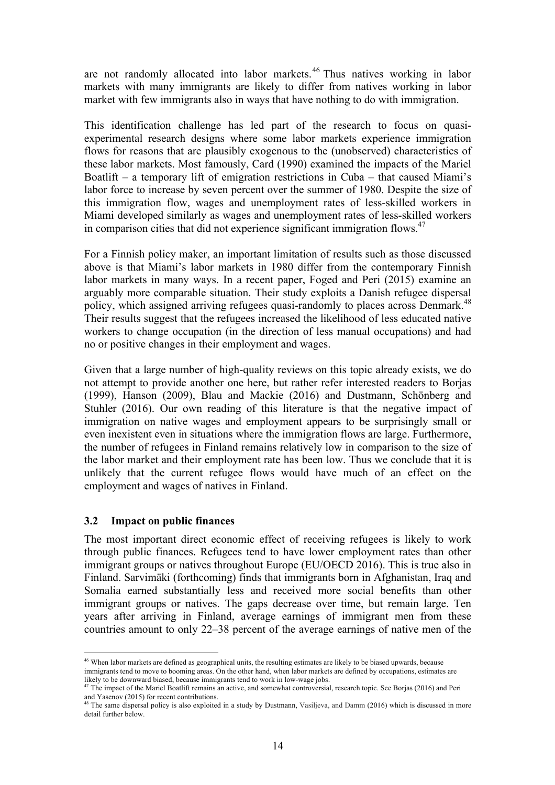are not randomly allocated into labor markets.<sup>46</sup> Thus natives working in labor markets with many immigrants are likely to differ from natives working in labor market with few immigrants also in ways that have nothing to do with immigration.

This identification challenge has led part of the research to focus on quasiexperimental research designs where some labor markets experience immigration flows for reasons that are plausibly exogenous to the (unobserved) characteristics of these labor markets. Most famously, Card (1990) examined the impacts of the Mariel Boatlift – a temporary lift of emigration restrictions in Cuba – that caused Miami's labor force to increase by seven percent over the summer of 1980. Despite the size of this immigration flow, wages and unemployment rates of less-skilled workers in Miami developed similarly as wages and unemployment rates of less-skilled workers in comparison cities that did not experience significant immigration flows.<sup>47</sup>

For a Finnish policy maker, an important limitation of results such as those discussed above is that Miami's labor markets in 1980 differ from the contemporary Finnish labor markets in many ways. In a recent paper, Foged and Peri (2015) examine an arguably more comparable situation. Their study exploits a Danish refugee dispersal policy, which assigned arriving refugees quasi-randomly to places across Denmark.<sup>48</sup> Their results suggest that the refugees increased the likelihood of less educated native workers to change occupation (in the direction of less manual occupations) and had no or positive changes in their employment and wages.

Given that a large number of high-quality reviews on this topic already exists, we do not attempt to provide another one here, but rather refer interested readers to Borjas (1999), Hanson (2009), Blau and Mackie (2016) and Dustmann, Schönberg and Stuhler (2016). Our own reading of this literature is that the negative impact of immigration on native wages and employment appears to be surprisingly small or even inexistent even in situations where the immigration flows are large. Furthermore, the number of refugees in Finland remains relatively low in comparison to the size of the labor market and their employment rate has been low. Thus we conclude that it is unlikely that the current refugee flows would have much of an effect on the employment and wages of natives in Finland.

#### **3.2 Impact on public finances**

The most important direct economic effect of receiving refugees is likely to work through public finances. Refugees tend to have lower employment rates than other immigrant groups or natives throughout Europe (EU/OECD 2016). This is true also in Finland. Sarvimäki (forthcoming) finds that immigrants born in Afghanistan, Iraq and Somalia earned substantially less and received more social benefits than other immigrant groups or natives. The gaps decrease over time, but remain large. Ten years after arriving in Finland, average earnings of immigrant men from these countries amount to only 22–38 percent of the average earnings of native men of the

 <sup>46</sup> When labor markets are defined as geographical units, the resulting estimates are likely to be biased upwards, because immigrants tend to move to booming areas. On the other hand, when labor markets are defined by occupations, estimates are likely to be downward biased, because immigrants tend to work in low-wage jobs.

<sup>&</sup>lt;sup>47</sup> The impact of the Mariel Boatlift remains an active, and somewhat controversial, research topic. See Borjas (2016) and Peri and Yasenov (2015) for recent contributions.

and Yasenov (2005) for recent contributions. The same dispersal policy is also exploited in a study by Dustmann, Vasiljeva, and Damm (2016) which is discussed in more detail further below.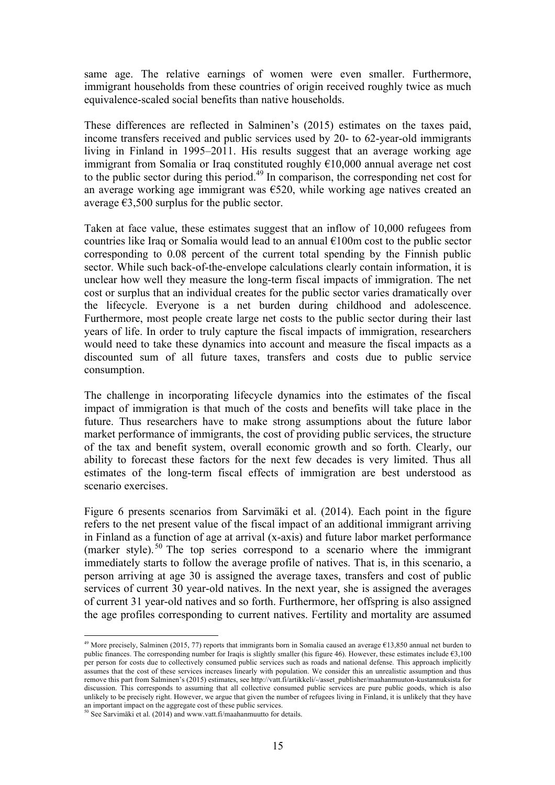same age. The relative earnings of women were even smaller. Furthermore, immigrant households from these countries of origin received roughly twice as much equivalence-scaled social benefits than native households.

These differences are reflected in Salminen's (2015) estimates on the taxes paid, income transfers received and public services used by 20- to 62-year-old immigrants living in Finland in 1995–2011. His results suggest that an average working age immigrant from Somalia or Iraq constituted roughly €10,000 annual average net cost to the public sector during this period. <sup>49</sup> In comparison, the corresponding net cost for an average working age immigrant was €520, while working age natives created an average  $\epsilon$ 3,500 surplus for the public sector.

Taken at face value, these estimates suggest that an inflow of 10,000 refugees from countries like Iraq or Somalia would lead to an annual  $\epsilon$ 100m cost to the public sector corresponding to 0.08 percent of the current total spending by the Finnish public sector. While such back-of-the-envelope calculations clearly contain information, it is unclear how well they measure the long-term fiscal impacts of immigration. The net cost or surplus that an individual creates for the public sector varies dramatically over the lifecycle. Everyone is a net burden during childhood and adolescence. Furthermore, most people create large net costs to the public sector during their last years of life. In order to truly capture the fiscal impacts of immigration, researchers would need to take these dynamics into account and measure the fiscal impacts as a discounted sum of all future taxes, transfers and costs due to public service consumption.

The challenge in incorporating lifecycle dynamics into the estimates of the fiscal impact of immigration is that much of the costs and benefits will take place in the future. Thus researchers have to make strong assumptions about the future labor market performance of immigrants, the cost of providing public services, the structure of the tax and benefit system, overall economic growth and so forth. Clearly, our ability to forecast these factors for the next few decades is very limited. Thus all estimates of the long-term fiscal effects of immigration are best understood as scenario exercises.

Figure 6 presents scenarios from Sarvimäki et al. (2014). Each point in the figure refers to the net present value of the fiscal impact of an additional immigrant arriving in Finland as a function of age at arrival (x-axis) and future labor market performance (marker style).  $50$  The top series correspond to a scenario where the immigrant immediately starts to follow the average profile of natives. That is, in this scenario, a person arriving at age 30 is assigned the average taxes, transfers and cost of public services of current 30 year-old natives. In the next year, she is assigned the averages of current 31 year-old natives and so forth. Furthermore, her offspring is also assigned the age profiles corresponding to current natives. Fertility and mortality are assumed

<sup>&</sup>lt;sup>49</sup> More precisely, Salminen (2015, 77) reports that immigrants born in Somalia caused an average  $\epsilon$ 13,850 annual net burden to public finances. The corresponding number for Iraqis is slightly smaller (his figure 46). However, these estimates include €3,100 per person for costs due to collectively consumed public services such as roads and national defense. This approach implicitly assumes that the cost of these services increases linearly with population. We consider this an unrealistic assumption and thus remove this part from Salminen's (2015) estimates, see http://vatt.fi/artikkeli/-/asset\_publisher/maahanmuuton-kustannuksista for discussion. This corresponds to assuming that all collective consumed public services are pure public goods, which is also unlikely to be precisely right. However, we argue that given the number of refugees living in Finland, it is unlikely that they have an important impact on the aggregate cost of these public services.

 $50$  See Sarvimäki et al. (2014) and www.vatt.fi/maahanmuutto for details.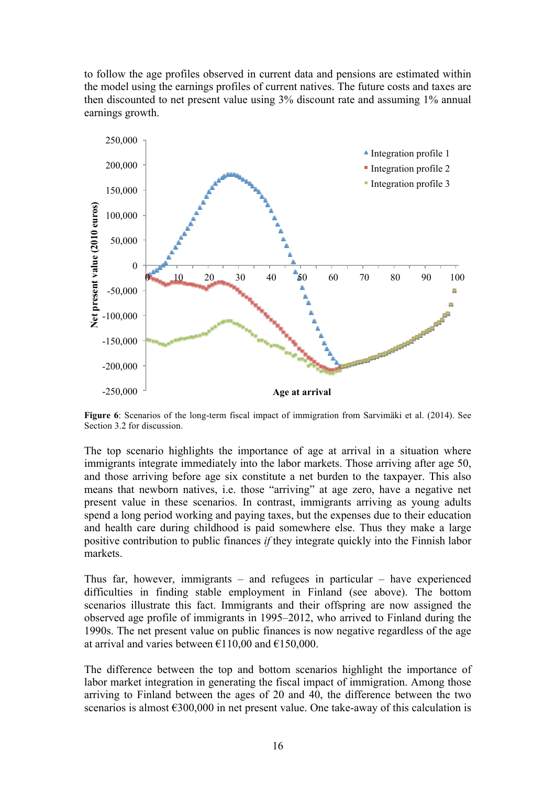to follow the age profiles observed in current data and pensions are estimated within the model using the earnings profiles of current natives. The future costs and taxes are then discounted to net present value using 3% discount rate and assuming 1% annual earnings growth.



**Figure 6**: Scenarios of the long-term fiscal impact of immigration from Sarvimäki et al. (2014). See Section 3.2 for discussion.

The top scenario highlights the importance of age at arrival in a situation where immigrants integrate immediately into the labor markets. Those arriving after age 50, and those arriving before age six constitute a net burden to the taxpayer. This also means that newborn natives, i.e. those "arriving" at age zero, have a negative net present value in these scenarios. In contrast, immigrants arriving as young adults spend a long period working and paying taxes, but the expenses due to their education and health care during childhood is paid somewhere else. Thus they make a large positive contribution to public finances *if* they integrate quickly into the Finnish labor markets.

Thus far, however, immigrants – and refugees in particular – have experienced difficulties in finding stable employment in Finland (see above). The bottom scenarios illustrate this fact. Immigrants and their offspring are now assigned the observed age profile of immigrants in 1995–2012, who arrived to Finland during the 1990s. The net present value on public finances is now negative regardless of the age at arrival and varies between  $\epsilon$ 110,00 and  $\epsilon$ 150,000.

The difference between the top and bottom scenarios highlight the importance of labor market integration in generating the fiscal impact of immigration. Among those arriving to Finland between the ages of 20 and 40, the difference between the two scenarios is almost €300,000 in net present value. One take-away of this calculation is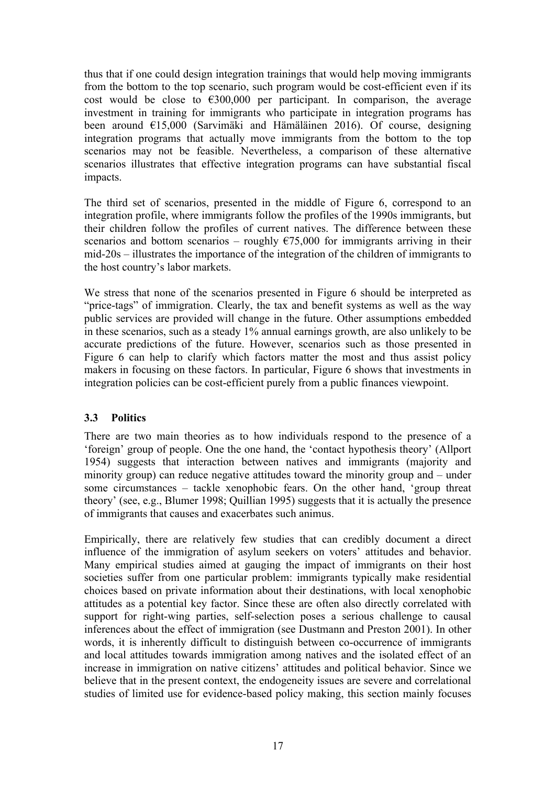thus that if one could design integration trainings that would help moving immigrants from the bottom to the top scenario, such program would be cost-efficient even if its cost would be close to  $\epsilon$ 300,000 per participant. In comparison, the average investment in training for immigrants who participate in integration programs has been around €15,000 (Sarvimäki and Hämäläinen 2016). Of course, designing integration programs that actually move immigrants from the bottom to the top scenarios may not be feasible. Nevertheless, a comparison of these alternative scenarios illustrates that effective integration programs can have substantial fiscal impacts.

The third set of scenarios, presented in the middle of Figure 6, correspond to an integration profile, where immigrants follow the profiles of the 1990s immigrants, but their children follow the profiles of current natives. The difference between these scenarios and bottom scenarios – roughly  $\epsilon$ 75,000 for immigrants arriving in their mid-20s – illustrates the importance of the integration of the children of immigrants to the host country's labor markets.

We stress that none of the scenarios presented in Figure 6 should be interpreted as "price-tags" of immigration. Clearly, the tax and benefit systems as well as the way public services are provided will change in the future. Other assumptions embedded in these scenarios, such as a steady 1% annual earnings growth, are also unlikely to be accurate predictions of the future. However, scenarios such as those presented in Figure 6 can help to clarify which factors matter the most and thus assist policy makers in focusing on these factors. In particular, Figure 6 shows that investments in integration policies can be cost-efficient purely from a public finances viewpoint.

# **3.3 Politics**

There are two main theories as to how individuals respond to the presence of a 'foreign' group of people. One the one hand, the 'contact hypothesis theory' (Allport 1954) suggests that interaction between natives and immigrants (majority and minority group) can reduce negative attitudes toward the minority group and – under some circumstances – tackle xenophobic fears. On the other hand, 'group threat theory' (see, e.g., Blumer 1998; Quillian 1995) suggests that it is actually the presence of immigrants that causes and exacerbates such animus.

Empirically, there are relatively few studies that can credibly document a direct influence of the immigration of asylum seekers on voters' attitudes and behavior. Many empirical studies aimed at gauging the impact of immigrants on their host societies suffer from one particular problem: immigrants typically make residential choices based on private information about their destinations, with local xenophobic attitudes as a potential key factor. Since these are often also directly correlated with support for right-wing parties, self-selection poses a serious challenge to causal inferences about the effect of immigration (see Dustmann and Preston 2001). In other words, it is inherently difficult to distinguish between co-occurrence of immigrants and local attitudes towards immigration among natives and the isolated effect of an increase in immigration on native citizens' attitudes and political behavior. Since we believe that in the present context, the endogeneity issues are severe and correlational studies of limited use for evidence-based policy making, this section mainly focuses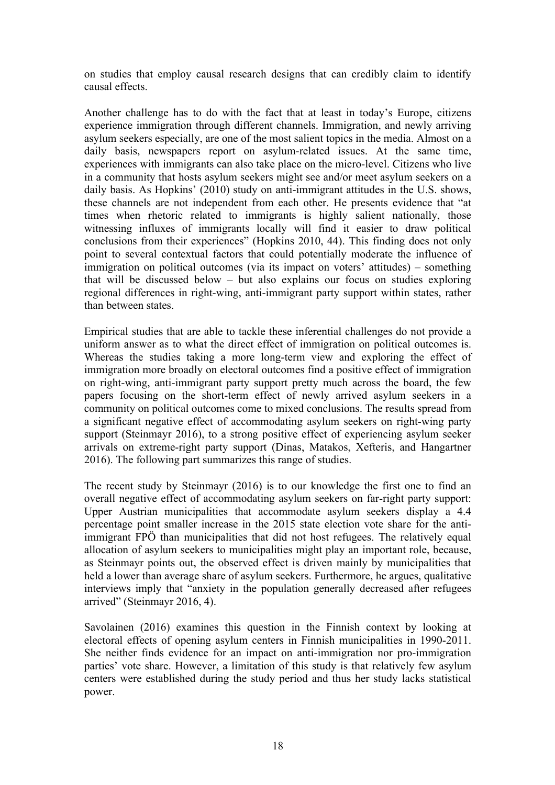on studies that employ causal research designs that can credibly claim to identify causal effects.

Another challenge has to do with the fact that at least in today's Europe, citizens experience immigration through different channels. Immigration, and newly arriving asylum seekers especially, are one of the most salient topics in the media. Almost on a daily basis, newspapers report on asylum-related issues. At the same time, experiences with immigrants can also take place on the micro-level. Citizens who live in a community that hosts asylum seekers might see and/or meet asylum seekers on a daily basis. As Hopkins' (2010) study on anti-immigrant attitudes in the U.S. shows, these channels are not independent from each other. He presents evidence that "at times when rhetoric related to immigrants is highly salient nationally, those witnessing influxes of immigrants locally will find it easier to draw political conclusions from their experiences" (Hopkins 2010, 44). This finding does not only point to several contextual factors that could potentially moderate the influence of immigration on political outcomes (via its impact on voters' attitudes) – something that will be discussed below – but also explains our focus on studies exploring regional differences in right-wing, anti-immigrant party support within states, rather than between states.

Empirical studies that are able to tackle these inferential challenges do not provide a uniform answer as to what the direct effect of immigration on political outcomes is. Whereas the studies taking a more long-term view and exploring the effect of immigration more broadly on electoral outcomes find a positive effect of immigration on right-wing, anti-immigrant party support pretty much across the board, the few papers focusing on the short-term effect of newly arrived asylum seekers in a community on political outcomes come to mixed conclusions. The results spread from a significant negative effect of accommodating asylum seekers on right-wing party support (Steinmayr 2016), to a strong positive effect of experiencing asylum seeker arrivals on extreme-right party support (Dinas, Matakos, Xefteris, and Hangartner 2016). The following part summarizes this range of studies.

The recent study by Steinmayr (2016) is to our knowledge the first one to find an overall negative effect of accommodating asylum seekers on far-right party support: Upper Austrian municipalities that accommodate asylum seekers display a 4.4 percentage point smaller increase in the 2015 state election vote share for the antiimmigrant FPÖ than municipalities that did not host refugees. The relatively equal allocation of asylum seekers to municipalities might play an important role, because, as Steinmayr points out, the observed effect is driven mainly by municipalities that held a lower than average share of asylum seekers. Furthermore, he argues, qualitative interviews imply that "anxiety in the population generally decreased after refugees arrived" (Steinmayr 2016, 4).

Savolainen (2016) examines this question in the Finnish context by looking at electoral effects of opening asylum centers in Finnish municipalities in 1990-2011. She neither finds evidence for an impact on anti-immigration nor pro-immigration parties' vote share. However, a limitation of this study is that relatively few asylum centers were established during the study period and thus her study lacks statistical power.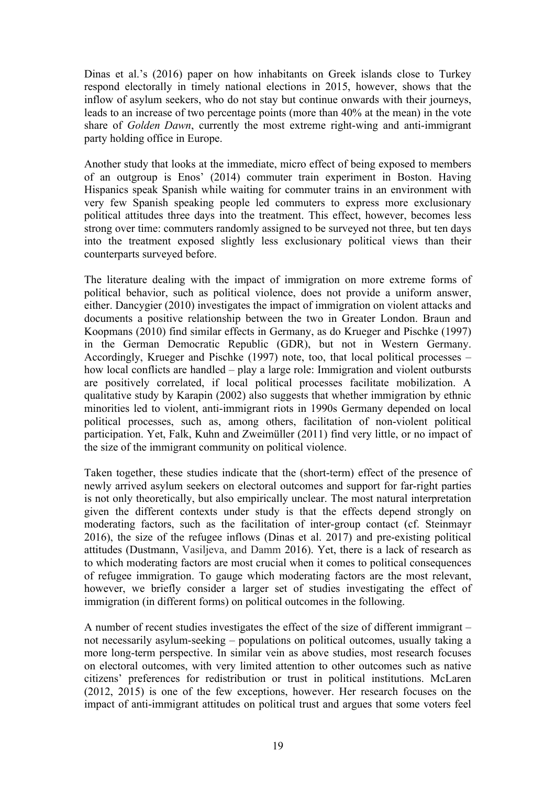Dinas et al.'s (2016) paper on how inhabitants on Greek islands close to Turkey respond electorally in timely national elections in 2015, however, shows that the inflow of asylum seekers, who do not stay but continue onwards with their journeys, leads to an increase of two percentage points (more than 40% at the mean) in the vote share of *Golden Dawn*, currently the most extreme right-wing and anti-immigrant party holding office in Europe.

Another study that looks at the immediate, micro effect of being exposed to members of an outgroup is Enos' (2014) commuter train experiment in Boston. Having Hispanics speak Spanish while waiting for commuter trains in an environment with very few Spanish speaking people led commuters to express more exclusionary political attitudes three days into the treatment. This effect, however, becomes less strong over time: commuters randomly assigned to be surveyed not three, but ten days into the treatment exposed slightly less exclusionary political views than their counterparts surveyed before.

The literature dealing with the impact of immigration on more extreme forms of political behavior, such as political violence, does not provide a uniform answer, either. Dancygier (2010) investigates the impact of immigration on violent attacks and documents a positive relationship between the two in Greater London. Braun and Koopmans (2010) find similar effects in Germany, as do Krueger and Pischke (1997) in the German Democratic Republic (GDR), but not in Western Germany. Accordingly, Krueger and Pischke (1997) note, too, that local political processes – how local conflicts are handled – play a large role: Immigration and violent outbursts are positively correlated, if local political processes facilitate mobilization. A qualitative study by Karapin (2002) also suggests that whether immigration by ethnic minorities led to violent, anti-immigrant riots in 1990s Germany depended on local political processes, such as, among others, facilitation of non-violent political participation. Yet, Falk, Kuhn and Zweimüller (2011) find very little, or no impact of the size of the immigrant community on political violence.

Taken together, these studies indicate that the (short-term) effect of the presence of newly arrived asylum seekers on electoral outcomes and support for far-right parties is not only theoretically, but also empirically unclear. The most natural interpretation given the different contexts under study is that the effects depend strongly on moderating factors, such as the facilitation of inter-group contact (cf. Steinmayr 2016), the size of the refugee inflows (Dinas et al. 2017) and pre-existing political attitudes (Dustmann, Vasiljeva, and Damm 2016). Yet, there is a lack of research as to which moderating factors are most crucial when it comes to political consequences of refugee immigration. To gauge which moderating factors are the most relevant, however, we briefly consider a larger set of studies investigating the effect of immigration (in different forms) on political outcomes in the following.

A number of recent studies investigates the effect of the size of different immigrant – not necessarily asylum-seeking – populations on political outcomes, usually taking a more long-term perspective. In similar vein as above studies, most research focuses on electoral outcomes, with very limited attention to other outcomes such as native citizens' preferences for redistribution or trust in political institutions. McLaren (2012, 2015) is one of the few exceptions, however. Her research focuses on the impact of anti-immigrant attitudes on political trust and argues that some voters feel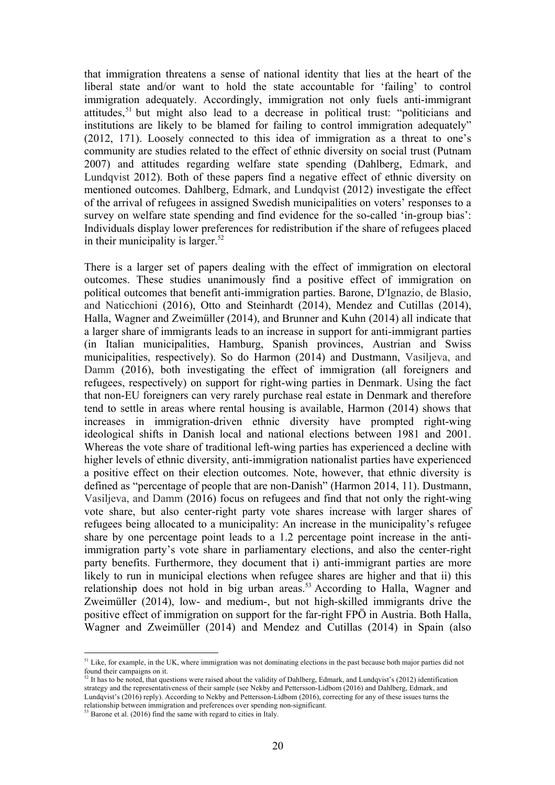that immigration threatens a sense of national identity that lies at the heart of the liberal state and/or want to hold the state accountable for 'failing' to control immigration adequately. Accordingly, immigration not only fuels anti-immigrant attitudes,<sup>51</sup> but might also lead to a decrease in political trust: "politicians and institutions are likely to be blamed for failing to control immigration adequately" (2012, 171). Loosely connected to this idea of immigration as a threat to one's community are studies related to the effect of ethnic diversity on social trust (Putnam 2007) and attitudes regarding welfare state spending (Dahlberg, Edmark, and Lundqvist 2012). Both of these papers find a negative effect of ethnic diversity on mentioned outcomes. Dahlberg, Edmark, and Lundqvist (2012) investigate the effect of the arrival of refugees in assigned Swedish municipalities on voters' responses to a survey on welfare state spending and find evidence for the so-called 'in-group bias': Individuals display lower preferences for redistribution if the share of refugees placed in their municipality is larger. $52$ 

There is a larger set of papers dealing with the effect of immigration on electoral outcomes. These studies unanimously find a positive effect of immigration on political outcomes that benefit anti-immigration parties. Barone, D'Ignazio, de Blasio, and Naticchioni (2016), Otto and Steinhardt (2014), Mendez and Cutillas (2014), Halla, Wagner and Zweimüller (2014), and Brunner and Kuhn (2014) all indicate that a larger share of immigrants leads to an increase in support for anti-immigrant parties (in Italian municipalities, Hamburg, Spanish provinces, Austrian and Swiss municipalities, respectively). So do Harmon (2014) and Dustmann, Vasiljeva, and Damm (2016), both investigating the effect of immigration (all foreigners and refugees, respectively) on support for right-wing parties in Denmark. Using the fact that non-EU foreigners can very rarely purchase real estate in Denmark and therefore tend to settle in areas where rental housing is available, Harmon (2014) shows that increases in immigration-driven ethnic diversity have prompted right-wing ideological shifts in Danish local and national elections between 1981 and 2001. Whereas the vote share of traditional left-wing parties has experienced a decline with higher levels of ethnic diversity, anti-immigration nationalist parties have experienced a positive effect on their election outcomes. Note, however, that ethnic diversity is defined as "percentage of people that are non-Danish" (Harmon 2014, 11). Dustmann, Vasiljeva, and Damm (2016) focus on refugees and find that not only the right-wing vote share, but also center-right party vote shares increase with larger shares of refugees being allocated to a municipality: An increase in the municipality's refugee share by one percentage point leads to a 1.2 percentage point increase in the antiimmigration party's vote share in parliamentary elections, and also the center-right party benefits. Furthermore, they document that i) anti-immigrant parties are more likely to run in municipal elections when refugee shares are higher and that ii) this relationship does not hold in big urban areas.<sup>53</sup> According to Halla, Wagner and Zweimüller (2014), low- and medium-, but not high-skilled immigrants drive the positive effect of immigration on support for the far-right FPÖ in Austria. Both Halla, Wagner and Zweimüller (2014) and Mendez and Cutillas (2014) in Spain (also

 $<sup>51</sup>$  Like, for example, in the UK, where immigration was not dominating elections in the past because both major parties did not</sup> found their campaigns on it.

 $52$  It has to be noted, that questions were raised about the validity of Dahlberg, Edmark, and Lundqvist's (2012) identification strategy and the representativeness of their sample (see Nekby and Pettersson-Lidbom (2016) and Dahlberg, Edmark, and Lundqvist's (2016) reply). According to Nekby and Pettersson-Lidbom (2016), correcting for any of these issues turns the relationship between immigration and preferences over spending non-significant.

 $53$  Barone et al. (2016) find the same with regard to cities in Italy.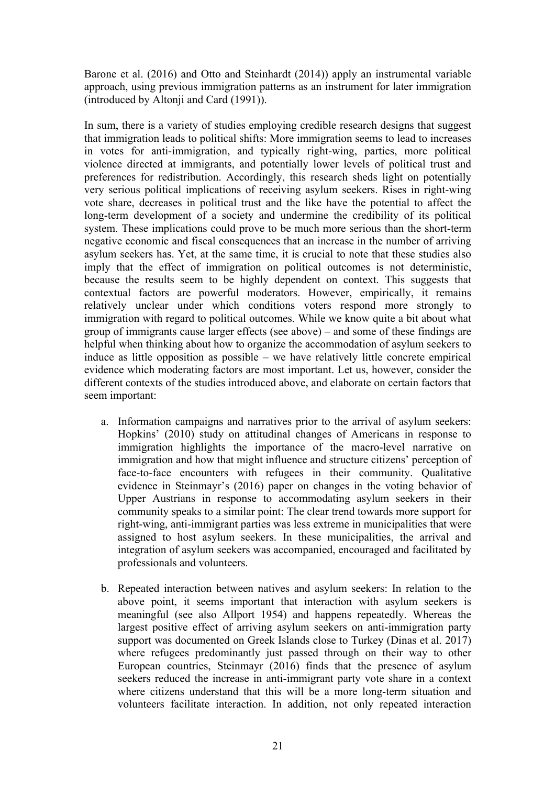Barone et al. (2016) and Otto and Steinhardt (2014)) apply an instrumental variable approach, using previous immigration patterns as an instrument for later immigration (introduced by Altonji and Card (1991)).

In sum, there is a variety of studies employing credible research designs that suggest that immigration leads to political shifts: More immigration seems to lead to increases in votes for anti-immigration, and typically right-wing, parties, more political violence directed at immigrants, and potentially lower levels of political trust and preferences for redistribution. Accordingly, this research sheds light on potentially very serious political implications of receiving asylum seekers. Rises in right-wing vote share, decreases in political trust and the like have the potential to affect the long-term development of a society and undermine the credibility of its political system. These implications could prove to be much more serious than the short-term negative economic and fiscal consequences that an increase in the number of arriving asylum seekers has. Yet, at the same time, it is crucial to note that these studies also imply that the effect of immigration on political outcomes is not deterministic, because the results seem to be highly dependent on context. This suggests that contextual factors are powerful moderators. However, empirically, it remains relatively unclear under which conditions voters respond more strongly to immigration with regard to political outcomes. While we know quite a bit about what group of immigrants cause larger effects (see above) – and some of these findings are helpful when thinking about how to organize the accommodation of asylum seekers to induce as little opposition as possible – we have relatively little concrete empirical evidence which moderating factors are most important. Let us, however, consider the different contexts of the studies introduced above, and elaborate on certain factors that seem important:

- a. Information campaigns and narratives prior to the arrival of asylum seekers: Hopkins' (2010) study on attitudinal changes of Americans in response to immigration highlights the importance of the macro-level narrative on immigration and how that might influence and structure citizens' perception of face-to-face encounters with refugees in their community. Qualitative evidence in Steinmayr's (2016) paper on changes in the voting behavior of Upper Austrians in response to accommodating asylum seekers in their community speaks to a similar point: The clear trend towards more support for right-wing, anti-immigrant parties was less extreme in municipalities that were assigned to host asylum seekers. In these municipalities, the arrival and integration of asylum seekers was accompanied, encouraged and facilitated by professionals and volunteers.
- b. Repeated interaction between natives and asylum seekers: In relation to the above point, it seems important that interaction with asylum seekers is meaningful (see also Allport 1954) and happens repeatedly. Whereas the largest positive effect of arriving asylum seekers on anti-immigration party support was documented on Greek Islands close to Turkey (Dinas et al. 2017) where refugees predominantly just passed through on their way to other European countries, Steinmayr (2016) finds that the presence of asylum seekers reduced the increase in anti-immigrant party vote share in a context where citizens understand that this will be a more long-term situation and volunteers facilitate interaction. In addition, not only repeated interaction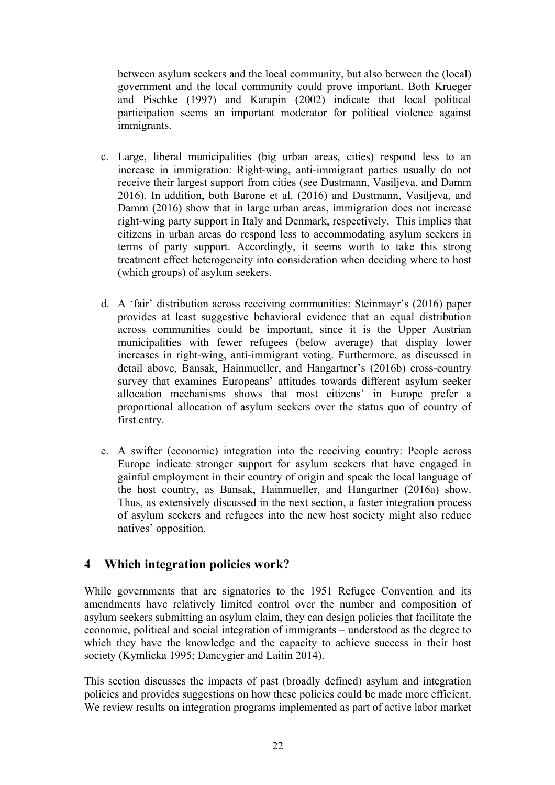between asylum seekers and the local community, but also between the (local) government and the local community could prove important. Both Krueger and Pischke (1997) and Karapin (2002) indicate that local political participation seems an important moderator for political violence against immigrants.

- c. Large, liberal municipalities (big urban areas, cities) respond less to an increase in immigration: Right-wing, anti-immigrant parties usually do not receive their largest support from cities (see Dustmann, Vasiljeva, and Damm 2016). In addition, both Barone et al. (2016) and Dustmann, Vasiljeva, and Damm (2016) show that in large urban areas, immigration does not increase right-wing party support in Italy and Denmark, respectively. This implies that citizens in urban areas do respond less to accommodating asylum seekers in terms of party support. Accordingly, it seems worth to take this strong treatment effect heterogeneity into consideration when deciding where to host (which groups) of asylum seekers.
- d. A 'fair' distribution across receiving communities: Steinmayr's (2016) paper provides at least suggestive behavioral evidence that an equal distribution across communities could be important, since it is the Upper Austrian municipalities with fewer refugees (below average) that display lower increases in right-wing, anti-immigrant voting. Furthermore, as discussed in detail above, Bansak, Hainmueller, and Hangartner's (2016b) cross-country survey that examines Europeans' attitudes towards different asylum seeker allocation mechanisms shows that most citizens' in Europe prefer a proportional allocation of asylum seekers over the status quo of country of first entry.
- e. A swifter (economic) integration into the receiving country: People across Europe indicate stronger support for asylum seekers that have engaged in gainful employment in their country of origin and speak the local language of the host country, as Bansak, Hainmueller, and Hangartner (2016a) show. Thus, as extensively discussed in the next section, a faster integration process of asylum seekers and refugees into the new host society might also reduce natives' opposition.

# **4 Which integration policies work?**

While governments that are signatories to the 1951 Refugee Convention and its amendments have relatively limited control over the number and composition of asylum seekers submitting an asylum claim, they can design policies that facilitate the economic, political and social integration of immigrants – understood as the degree to which they have the knowledge and the capacity to achieve success in their host society (Kymlicka 1995; Dancygier and Laitin 2014).

This section discusses the impacts of past (broadly defined) asylum and integration policies and provides suggestions on how these policies could be made more efficient. We review results on integration programs implemented as part of active labor market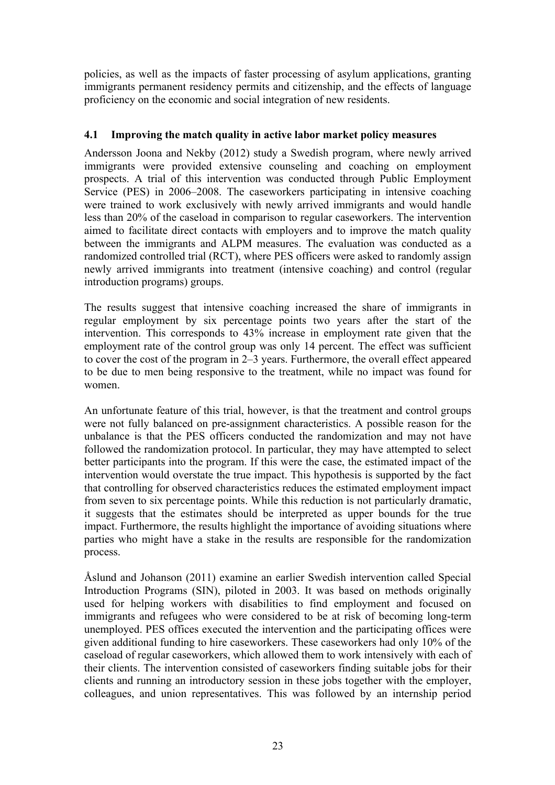policies, as well as the impacts of faster processing of asylum applications, granting immigrants permanent residency permits and citizenship, and the effects of language proficiency on the economic and social integration of new residents.

# **4.1 Improving the match quality in active labor market policy measures**

Andersson Joona and Nekby (2012) study a Swedish program, where newly arrived immigrants were provided extensive counseling and coaching on employment prospects. A trial of this intervention was conducted through Public Employment Service (PES) in 2006–2008. The caseworkers participating in intensive coaching were trained to work exclusively with newly arrived immigrants and would handle less than 20% of the caseload in comparison to regular caseworkers. The intervention aimed to facilitate direct contacts with employers and to improve the match quality between the immigrants and ALPM measures. The evaluation was conducted as a randomized controlled trial (RCT), where PES officers were asked to randomly assign newly arrived immigrants into treatment (intensive coaching) and control (regular introduction programs) groups.

The results suggest that intensive coaching increased the share of immigrants in regular employment by six percentage points two years after the start of the intervention. This corresponds to 43% increase in employment rate given that the employment rate of the control group was only 14 percent. The effect was sufficient to cover the cost of the program in 2–3 years. Furthermore, the overall effect appeared to be due to men being responsive to the treatment, while no impact was found for women.

An unfortunate feature of this trial, however, is that the treatment and control groups were not fully balanced on pre-assignment characteristics. A possible reason for the unbalance is that the PES officers conducted the randomization and may not have followed the randomization protocol. In particular, they may have attempted to select better participants into the program. If this were the case, the estimated impact of the intervention would overstate the true impact. This hypothesis is supported by the fact that controlling for observed characteristics reduces the estimated employment impact from seven to six percentage points. While this reduction is not particularly dramatic, it suggests that the estimates should be interpreted as upper bounds for the true impact. Furthermore, the results highlight the importance of avoiding situations where parties who might have a stake in the results are responsible for the randomization process.

Åslund and Johanson (2011) examine an earlier Swedish intervention called Special Introduction Programs (SIN), piloted in 2003. It was based on methods originally used for helping workers with disabilities to find employment and focused on immigrants and refugees who were considered to be at risk of becoming long-term unemployed. PES offices executed the intervention and the participating offices were given additional funding to hire caseworkers. These caseworkers had only 10% of the caseload of regular caseworkers, which allowed them to work intensively with each of their clients. The intervention consisted of caseworkers finding suitable jobs for their clients and running an introductory session in these jobs together with the employer, colleagues, and union representatives. This was followed by an internship period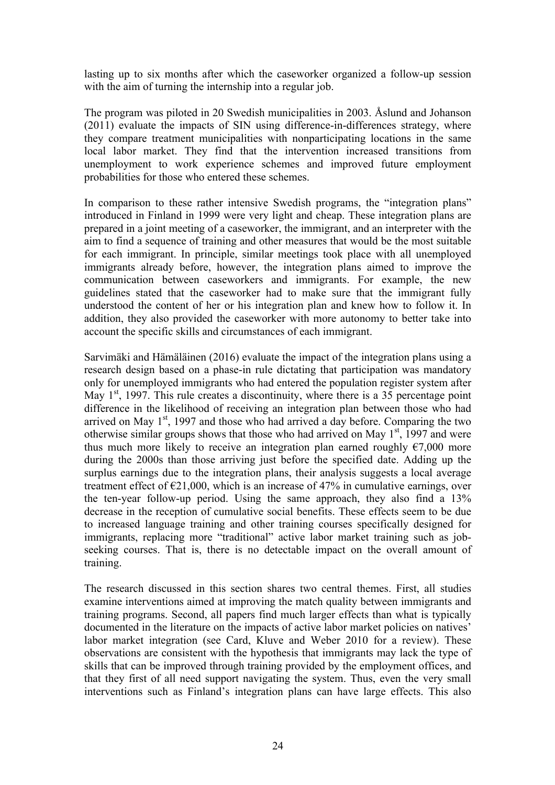lasting up to six months after which the caseworker organized a follow-up session with the aim of turning the internship into a regular job.

The program was piloted in 20 Swedish municipalities in 2003. Åslund and Johanson (2011) evaluate the impacts of SIN using difference-in-differences strategy, where they compare treatment municipalities with nonparticipating locations in the same local labor market. They find that the intervention increased transitions from unemployment to work experience schemes and improved future employment probabilities for those who entered these schemes.

In comparison to these rather intensive Swedish programs, the "integration plans" introduced in Finland in 1999 were very light and cheap. These integration plans are prepared in a joint meeting of a caseworker, the immigrant, and an interpreter with the aim to find a sequence of training and other measures that would be the most suitable for each immigrant. In principle, similar meetings took place with all unemployed immigrants already before, however, the integration plans aimed to improve the communication between caseworkers and immigrants. For example, the new guidelines stated that the caseworker had to make sure that the immigrant fully understood the content of her or his integration plan and knew how to follow it. In addition, they also provided the caseworker with more autonomy to better take into account the specific skills and circumstances of each immigrant.

Sarvimäki and Hämäläinen (2016) evaluate the impact of the integration plans using a research design based on a phase-in rule dictating that participation was mandatory only for unemployed immigrants who had entered the population register system after May  $1<sup>st</sup>$ , 1997. This rule creates a discontinuity, where there is a 35 percentage point difference in the likelihood of receiving an integration plan between those who had arrived on May  $1<sup>st</sup>$ , 1997 and those who had arrived a day before. Comparing the two otherwise similar groups shows that those who had arrived on May  $1<sup>st</sup>$ , 1997 and were thus much more likely to receive an integration plan earned roughly  $\epsilon$ 7,000 more during the 2000s than those arriving just before the specified date. Adding up the surplus earnings due to the integration plans, their analysis suggests a local average treatment effect of  $\epsilon$ 21,000, which is an increase of 47% in cumulative earnings, over the ten-year follow-up period. Using the same approach, they also find a 13% decrease in the reception of cumulative social benefits. These effects seem to be due to increased language training and other training courses specifically designed for immigrants, replacing more "traditional" active labor market training such as jobseeking courses. That is, there is no detectable impact on the overall amount of training.

The research discussed in this section shares two central themes. First, all studies examine interventions aimed at improving the match quality between immigrants and training programs. Second, all papers find much larger effects than what is typically documented in the literature on the impacts of active labor market policies on natives' labor market integration (see Card, Kluve and Weber 2010 for a review). These observations are consistent with the hypothesis that immigrants may lack the type of skills that can be improved through training provided by the employment offices, and that they first of all need support navigating the system. Thus, even the very small interventions such as Finland's integration plans can have large effects. This also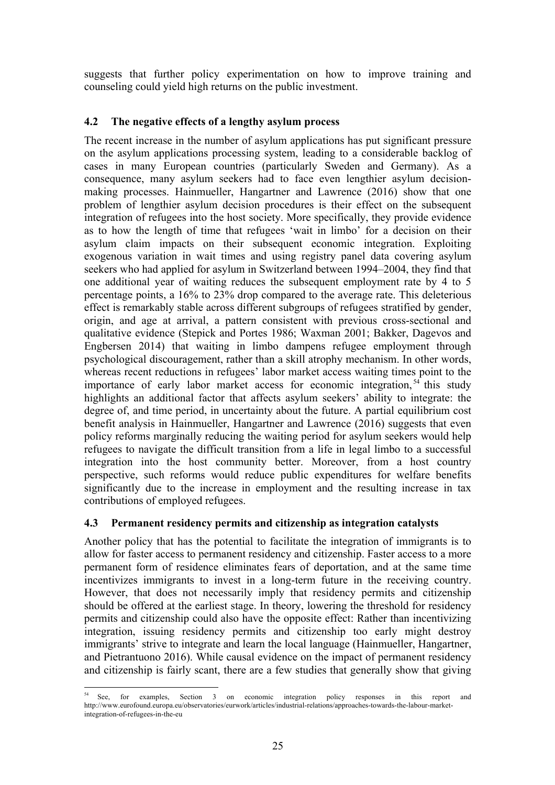suggests that further policy experimentation on how to improve training and counseling could yield high returns on the public investment.

# **4.2 The negative effects of a lengthy asylum process**

The recent increase in the number of asylum applications has put significant pressure on the asylum applications processing system, leading to a considerable backlog of cases in many European countries (particularly Sweden and Germany). As a consequence, many asylum seekers had to face even lengthier asylum decisionmaking processes. Hainmueller, Hangartner and Lawrence (2016) show that one problem of lengthier asylum decision procedures is their effect on the subsequent integration of refugees into the host society. More specifically, they provide evidence as to how the length of time that refugees 'wait in limbo' for a decision on their asylum claim impacts on their subsequent economic integration. Exploiting exogenous variation in wait times and using registry panel data covering asylum seekers who had applied for asylum in Switzerland between 1994–2004, they find that one additional year of waiting reduces the subsequent employment rate by 4 to 5 percentage points, a 16% to 23% drop compared to the average rate. This deleterious effect is remarkably stable across different subgroups of refugees stratified by gender, origin, and age at arrival, a pattern consistent with previous cross-sectional and qualitative evidence (Stepick and Portes 1986; Waxman 2001; Bakker, Dagevos and Engbersen 2014) that waiting in limbo dampens refugee employment through psychological discouragement, rather than a skill atrophy mechanism. In other words, whereas recent reductions in refugees' labor market access waiting times point to the importance of early labor market access for economic integration,  $54$  this study highlights an additional factor that affects asylum seekers' ability to integrate: the degree of, and time period, in uncertainty about the future. A partial equilibrium cost benefit analysis in Hainmueller, Hangartner and Lawrence (2016) suggests that even policy reforms marginally reducing the waiting period for asylum seekers would help refugees to navigate the difficult transition from a life in legal limbo to a successful integration into the host community better. Moreover, from a host country perspective, such reforms would reduce public expenditures for welfare benefits significantly due to the increase in employment and the resulting increase in tax contributions of employed refugees.

# **4.3 Permanent residency permits and citizenship as integration catalysts**

Another policy that has the potential to facilitate the integration of immigrants is to allow for faster access to permanent residency and citizenship. Faster access to a more permanent form of residence eliminates fears of deportation, and at the same time incentivizes immigrants to invest in a long-term future in the receiving country. However, that does not necessarily imply that residency permits and citizenship should be offered at the earliest stage. In theory, lowering the threshold for residency permits and citizenship could also have the opposite effect: Rather than incentivizing integration, issuing residency permits and citizenship too early might destroy immigrants' strive to integrate and learn the local language (Hainmueller, Hangartner, and Pietrantuono 2016). While causal evidence on the impact of permanent residency and citizenship is fairly scant, there are a few studies that generally show that giving

 $\frac{54}{10}$  See, for examples, Section 3 on economic integration policy responses in this report and http://www.eurofound.europa.eu/observatories/eurwork/articles/industrial-relations/approaches-towards-the-labour-marketintegration-of-refugees-in-the-eu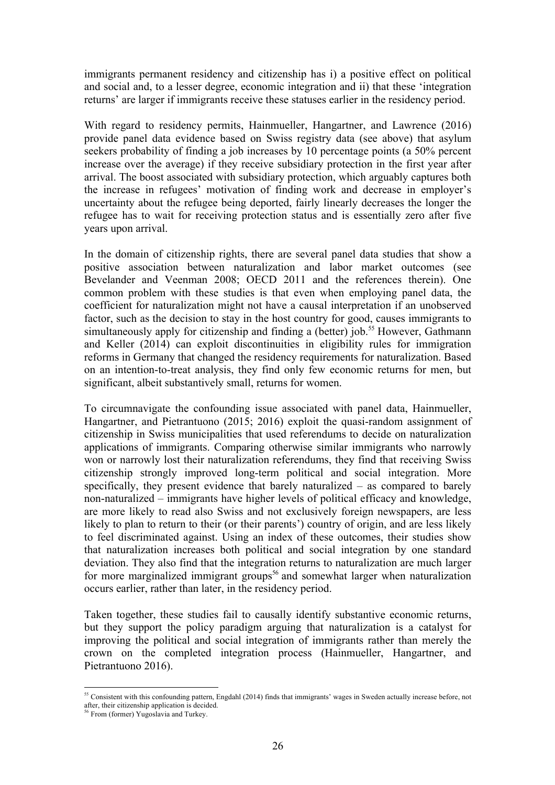immigrants permanent residency and citizenship has i) a positive effect on political and social and, to a lesser degree, economic integration and ii) that these 'integration returns' are larger if immigrants receive these statuses earlier in the residency period.

With regard to residency permits, Hainmueller, Hangartner, and Lawrence (2016) provide panel data evidence based on Swiss registry data (see above) that asylum seekers probability of finding a job increases by 10 percentage points (a 50% percent increase over the average) if they receive subsidiary protection in the first year after arrival. The boost associated with subsidiary protection, which arguably captures both the increase in refugees' motivation of finding work and decrease in employer's uncertainty about the refugee being deported, fairly linearly decreases the longer the refugee has to wait for receiving protection status and is essentially zero after five years upon arrival.

In the domain of citizenship rights, there are several panel data studies that show a positive association between naturalization and labor market outcomes (see Bevelander and Veenman 2008; OECD 2011 and the references therein). One common problem with these studies is that even when employing panel data, the coefficient for naturalization might not have a causal interpretation if an unobserved factor, such as the decision to stay in the host country for good, causes immigrants to simultaneously apply for citizenship and finding a (better) job.<sup>55</sup> However, Gathmann and Keller (2014) can exploit discontinuities in eligibility rules for immigration reforms in Germany that changed the residency requirements for naturalization. Based on an intention-to-treat analysis, they find only few economic returns for men, but significant, albeit substantively small, returns for women.

To circumnavigate the confounding issue associated with panel data, Hainmueller, Hangartner, and Pietrantuono (2015; 2016) exploit the quasi-random assignment of citizenship in Swiss municipalities that used referendums to decide on naturalization applications of immigrants. Comparing otherwise similar immigrants who narrowly won or narrowly lost their naturalization referendums, they find that receiving Swiss citizenship strongly improved long-term political and social integration. More specifically, they present evidence that barely naturalized – as compared to barely non-naturalized – immigrants have higher levels of political efficacy and knowledge, are more likely to read also Swiss and not exclusively foreign newspapers, are less likely to plan to return to their (or their parents') country of origin, and are less likely to feel discriminated against. Using an index of these outcomes, their studies show that naturalization increases both political and social integration by one standard deviation. They also find that the integration returns to naturalization are much larger for more marginalized immigrant groups<sup>56</sup> and somewhat larger when naturalization occurs earlier, rather than later, in the residency period.

Taken together, these studies fail to causally identify substantive economic returns, but they support the policy paradigm arguing that naturalization is a catalyst for improving the political and social integration of immigrants rather than merely the crown on the completed integration process (Hainmueller, Hangartner, and Pietrantuono 2016).

<sup>&</sup>lt;sup>55</sup> Consistent with this confounding pattern, Engdahl (2014) finds that immigrants' wages in Sweden actually increase before, not after, their citizenship application is decided. 56 From (former) Yugoslavia and Turkey.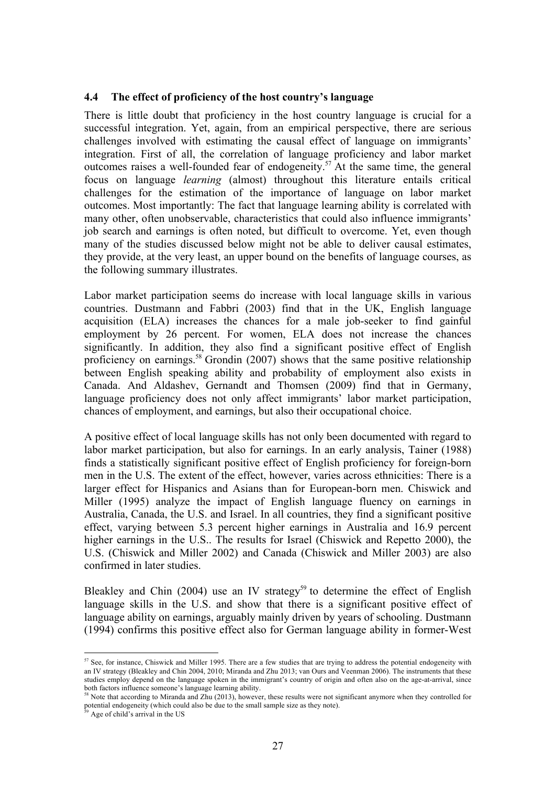#### **4.4 The effect of proficiency of the host country's language**

There is little doubt that proficiency in the host country language is crucial for a successful integration. Yet, again, from an empirical perspective, there are serious challenges involved with estimating the causal effect of language on immigrants' integration. First of all, the correlation of language proficiency and labor market outcomes raises a well-founded fear of endogeneity.57 At the same time, the general focus on language *learning* (almost) throughout this literature entails critical challenges for the estimation of the importance of language on labor market outcomes. Most importantly: The fact that language learning ability is correlated with many other, often unobservable, characteristics that could also influence immigrants' job search and earnings is often noted, but difficult to overcome. Yet, even though many of the studies discussed below might not be able to deliver causal estimates, they provide, at the very least, an upper bound on the benefits of language courses, as the following summary illustrates.

Labor market participation seems do increase with local language skills in various countries. Dustmann and Fabbri (2003) find that in the UK, English language acquisition (ELA) increases the chances for a male job-seeker to find gainful employment by 26 percent. For women, ELA does not increase the chances significantly. In addition, they also find a significant positive effect of English proficiency on earnings.<sup>58</sup> Grondin (2007) shows that the same positive relationship between English speaking ability and probability of employment also exists in Canada. And Aldashev, Gernandt and Thomsen (2009) find that in Germany, language proficiency does not only affect immigrants' labor market participation, chances of employment, and earnings, but also their occupational choice.

A positive effect of local language skills has not only been documented with regard to labor market participation, but also for earnings. In an early analysis, Tainer (1988) finds a statistically significant positive effect of English proficiency for foreign-born men in the U.S. The extent of the effect, however, varies across ethnicities: There is a larger effect for Hispanics and Asians than for European-born men. Chiswick and Miller (1995) analyze the impact of English language fluency on earnings in Australia, Canada, the U.S. and Israel. In all countries, they find a significant positive effect, varying between 5.3 percent higher earnings in Australia and 16.9 percent higher earnings in the U.S.. The results for Israel (Chiswick and Repetto 2000), the U.S. (Chiswick and Miller 2002) and Canada (Chiswick and Miller 2003) are also confirmed in later studies.

Bleakley and Chin (2004) use an IV strategy<sup>59</sup> to determine the effect of English language skills in the U.S. and show that there is a significant positive effect of language ability on earnings, arguably mainly driven by years of schooling. Dustmann (1994) confirms this positive effect also for German language ability in former-West

 $57$  See, for instance, Chiswick and Miller 1995. There are a few studies that are trying to address the potential endogeneity with an IV strategy (Bleakley and Chin 2004, 2010; Miranda and Zhu 2013; van Ours and Veenman 2006). The instruments that these studies employ depend on the language spoken in the immigrant's country of origin and often also on the age-at-arrival, since both factors influence someone's language learning ability.

<sup>&</sup>lt;sup>58</sup> Note that according to Miranda and Zhu (2013), however, these results were not significant anymore when they controlled for potential endogeneity (which could also be due to the small sample size as they note).

Age of child's arrival in the US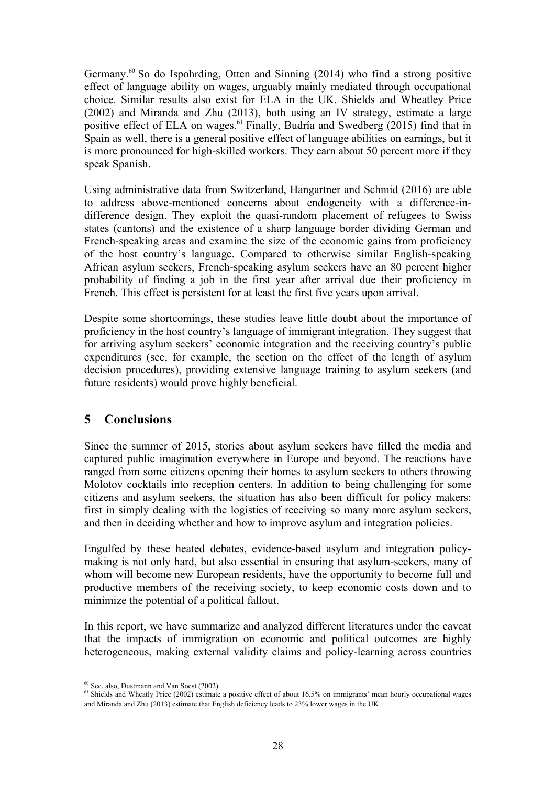Germany.<sup>60</sup> So do Ispohrding, Otten and Sinning (2014) who find a strong positive effect of language ability on wages, arguably mainly mediated through occupational choice. Similar results also exist for ELA in the UK. Shields and Wheatley Price (2002) and Miranda and Zhu (2013), both using an IV strategy, estimate a large positive effect of ELA on wages.<sup>61</sup> Finally, Budría and Swedberg (2015) find that in Spain as well, there is a general positive effect of language abilities on earnings, but it is more pronounced for high-skilled workers. They earn about 50 percent more if they speak Spanish.

Using administrative data from Switzerland, Hangartner and Schmid (2016) are able to address above-mentioned concerns about endogeneity with a difference-indifference design. They exploit the quasi-random placement of refugees to Swiss states (cantons) and the existence of a sharp language border dividing German and French-speaking areas and examine the size of the economic gains from proficiency of the host country's language. Compared to otherwise similar English-speaking African asylum seekers, French-speaking asylum seekers have an 80 percent higher probability of finding a job in the first year after arrival due their proficiency in French. This effect is persistent for at least the first five years upon arrival.

Despite some shortcomings, these studies leave little doubt about the importance of proficiency in the host country's language of immigrant integration. They suggest that for arriving asylum seekers' economic integration and the receiving country's public expenditures (see, for example, the section on the effect of the length of asylum decision procedures), providing extensive language training to asylum seekers (and future residents) would prove highly beneficial.

# **5 Conclusions**

Since the summer of 2015, stories about asylum seekers have filled the media and captured public imagination everywhere in Europe and beyond. The reactions have ranged from some citizens opening their homes to asylum seekers to others throwing Molotov cocktails into reception centers. In addition to being challenging for some citizens and asylum seekers, the situation has also been difficult for policy makers: first in simply dealing with the logistics of receiving so many more asylum seekers, and then in deciding whether and how to improve asylum and integration policies.

Engulfed by these heated debates, evidence-based asylum and integration policymaking is not only hard, but also essential in ensuring that asylum-seekers, many of whom will become new European residents, have the opportunity to become full and productive members of the receiving society, to keep economic costs down and to minimize the potential of a political fallout.

In this report, we have summarize and analyzed different literatures under the caveat that the impacts of immigration on economic and political outcomes are highly heterogeneous, making external validity claims and policy-learning across countries

<sup>&</sup>lt;sup>60</sup> See, also, Dustmann and Van Soest (2002)<br><sup>61</sup> Shields and Wheatly Price (2002) estimate a positive effect of about 16.5% on immigrants' mean hourly occupational wages and Miranda and Zhu (2013) estimate that English deficiency leads to 23% lower wages in the UK.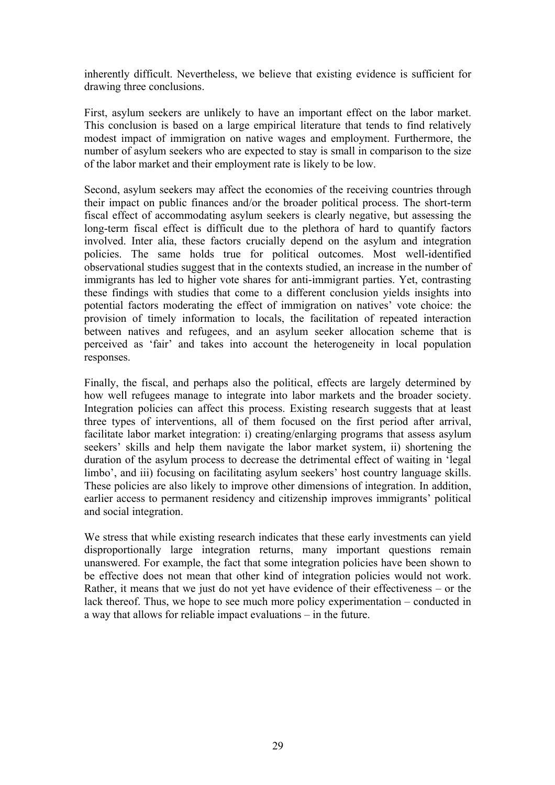inherently difficult. Nevertheless, we believe that existing evidence is sufficient for drawing three conclusions.

First, asylum seekers are unlikely to have an important effect on the labor market. This conclusion is based on a large empirical literature that tends to find relatively modest impact of immigration on native wages and employment. Furthermore, the number of asylum seekers who are expected to stay is small in comparison to the size of the labor market and their employment rate is likely to be low.

Second, asylum seekers may affect the economies of the receiving countries through their impact on public finances and/or the broader political process. The short-term fiscal effect of accommodating asylum seekers is clearly negative, but assessing the long-term fiscal effect is difficult due to the plethora of hard to quantify factors involved. Inter alia, these factors crucially depend on the asylum and integration policies. The same holds true for political outcomes. Most well-identified observational studies suggest that in the contexts studied, an increase in the number of immigrants has led to higher vote shares for anti-immigrant parties. Yet, contrasting these findings with studies that come to a different conclusion yields insights into potential factors moderating the effect of immigration on natives' vote choice: the provision of timely information to locals, the facilitation of repeated interaction between natives and refugees, and an asylum seeker allocation scheme that is perceived as 'fair' and takes into account the heterogeneity in local population responses.

Finally, the fiscal, and perhaps also the political, effects are largely determined by how well refugees manage to integrate into labor markets and the broader society. Integration policies can affect this process. Existing research suggests that at least three types of interventions, all of them focused on the first period after arrival, facilitate labor market integration: i) creating/enlarging programs that assess asylum seekers' skills and help them navigate the labor market system, ii) shortening the duration of the asylum process to decrease the detrimental effect of waiting in 'legal limbo', and iii) focusing on facilitating asylum seekers' host country language skills. These policies are also likely to improve other dimensions of integration. In addition, earlier access to permanent residency and citizenship improves immigrants' political and social integration.

We stress that while existing research indicates that these early investments can yield disproportionally large integration returns, many important questions remain unanswered. For example, the fact that some integration policies have been shown to be effective does not mean that other kind of integration policies would not work. Rather, it means that we just do not yet have evidence of their effectiveness – or the lack thereof. Thus, we hope to see much more policy experimentation – conducted in a way that allows for reliable impact evaluations – in the future.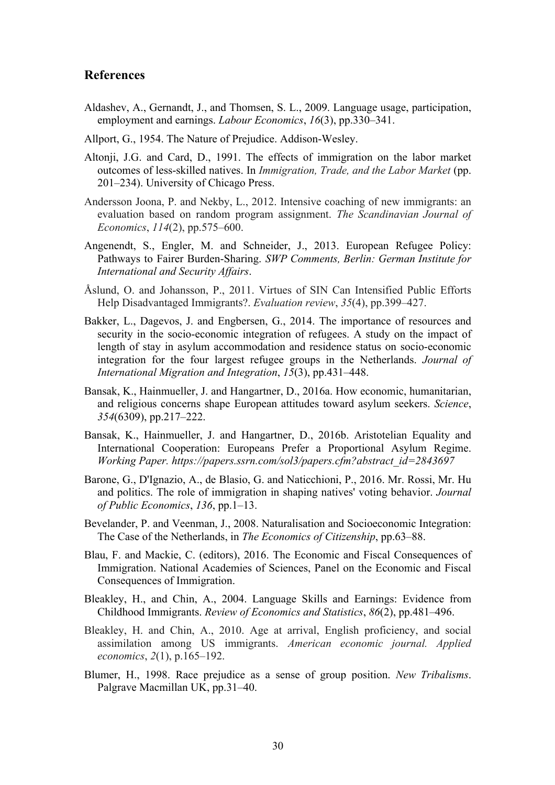## **References**

- Aldashev, A., Gernandt, J., and Thomsen, S. L., 2009. Language usage, participation, employment and earnings. *Labour Economics*, *16*(3), pp.330–341.
- Allport, G., 1954. The Nature of Prejudice. Addison-Wesley.
- Altonji, J.G. and Card, D., 1991. The effects of immigration on the labor market outcomes of less-skilled natives. In *Immigration, Trade, and the Labor Market* (pp. 201–234). University of Chicago Press.
- Andersson Joona, P. and Nekby, L., 2012. Intensive coaching of new immigrants: an evaluation based on random program assignment. *The Scandinavian Journal of Economics*, *114*(2), pp.575–600.
- Angenendt, S., Engler, M. and Schneider, J., 2013. European Refugee Policy: Pathways to Fairer Burden-Sharing. *SWP Comments, Berlin: German Institute for International and Security Affairs*.
- Åslund, O. and Johansson, P., 2011. Virtues of SIN Can Intensified Public Efforts Help Disadvantaged Immigrants?. *Evaluation review*, *35*(4), pp.399–427.
- Bakker, L., Dagevos, J. and Engbersen, G., 2014. The importance of resources and security in the socio-economic integration of refugees. A study on the impact of length of stay in asylum accommodation and residence status on socio-economic integration for the four largest refugee groups in the Netherlands. *Journal of International Migration and Integration*, *15*(3), pp.431–448.
- Bansak, K., Hainmueller, J. and Hangartner, D., 2016a. How economic, humanitarian, and religious concerns shape European attitudes toward asylum seekers. *Science*, *354*(6309), pp.217–222.
- Bansak, K., Hainmueller, J. and Hangartner, D., 2016b. Aristotelian Equality and International Cooperation: Europeans Prefer a Proportional Asylum Regime. *Working Paper. https://papers.ssrn.com/sol3/papers.cfm?abstract\_id=2843697*
- Barone, G., D'Ignazio, A., de Blasio, G. and Naticchioni, P., 2016. Mr. Rossi, Mr. Hu and politics. The role of immigration in shaping natives' voting behavior. *Journal of Public Economics*, *136*, pp.1–13.
- Bevelander, P. and Veenman, J., 2008. Naturalisation and Socioeconomic Integration: The Case of the Netherlands, in *The Economics of Citizenship*, pp.63–88.
- Blau, F. and Mackie, C. (editors), 2016. The Economic and Fiscal Consequences of Immigration. National Academies of Sciences, Panel on the Economic and Fiscal Consequences of Immigration.
- Bleakley, H., and Chin, A., 2004. Language Skills and Earnings: Evidence from Childhood Immigrants. *Review of Economics and Statistics*, *86*(2), pp.481–496.
- Bleakley, H. and Chin, A., 2010. Age at arrival, English proficiency, and social assimilation among US immigrants. *American economic journal. Applied economics*, *2*(1), p.165–192.
- Blumer, H., 1998. Race prejudice as a sense of group position. *New Tribalisms*. Palgrave Macmillan UK, pp.31–40.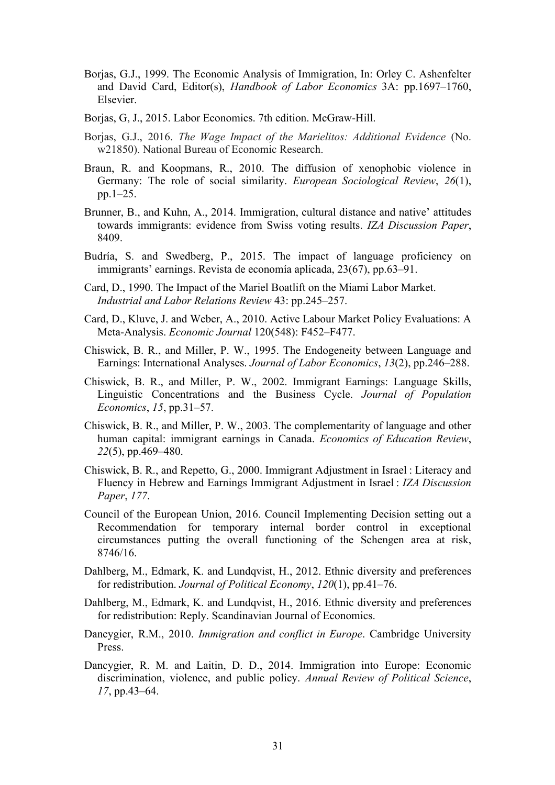- Borjas, G.J., 1999. The Economic Analysis of Immigration, In: Orley C. Ashenfelter and David Card, Editor(s), *Handbook of Labor Economics* 3A: pp.1697–1760, Elsevier.
- Borjas, G, J., 2015. Labor Economics. 7th edition. McGraw-Hill.
- Borjas, G.J., 2016. *The Wage Impact of the Marielitos: Additional Evidence* (No. w21850). National Bureau of Economic Research.
- Braun, R. and Koopmans, R., 2010. The diffusion of xenophobic violence in Germany: The role of social similarity. *European Sociological Review*, *26*(1), pp.1–25.
- Brunner, B., and Kuhn, A., 2014. Immigration, cultural distance and native' attitudes towards immigrants: evidence from Swiss voting results. *IZA Discussion Paper*, 8409.
- Budría, S. and Swedberg, P., 2015. The impact of language proficiency on immigrants' earnings. Revista de economía aplicada, 23(67), pp.63–91.
- Card, D., 1990. The Impact of the Mariel Boatlift on the Miami Labor Market. *Industrial and Labor Relations Review* 43: pp.245–257.
- Card, D., Kluve, J. and Weber, A., 2010. Active Labour Market Policy Evaluations: A Meta-Analysis. *Economic Journal* 120(548): F452–F477.
- Chiswick, B. R., and Miller, P. W., 1995. The Endogeneity between Language and Earnings: International Analyses. *Journal of Labor Economics*, *13*(2), pp.246–288.
- Chiswick, B. R., and Miller, P. W., 2002. Immigrant Earnings: Language Skills, Linguistic Concentrations and the Business Cycle. *Journal of Population Economics*, *15*, pp.31–57.
- Chiswick, B. R., and Miller, P. W., 2003. The complementarity of language and other human capital: immigrant earnings in Canada. *Economics of Education Review*, *22*(5), pp.469–480.
- Chiswick, B. R., and Repetto, G., 2000. Immigrant Adjustment in Israel : Literacy and Fluency in Hebrew and Earnings Immigrant Adjustment in Israel : *IZA Discussion Paper*, *177*.
- Council of the European Union, 2016. Council Implementing Decision setting out a Recommendation for temporary internal border control in exceptional circumstances putting the overall functioning of the Schengen area at risk, 8746/16.
- Dahlberg, M., Edmark, K. and Lundqvist, H., 2012. Ethnic diversity and preferences for redistribution. *Journal of Political Economy*, *120*(1), pp.41–76.
- Dahlberg, M., Edmark, K. and Lundqvist, H., 2016. Ethnic diversity and preferences for redistribution: Reply. Scandinavian Journal of Economics.
- Dancygier, R.M., 2010. *Immigration and conflict in Europe*. Cambridge University Press.
- Dancygier, R. M. and Laitin, D. D., 2014. Immigration into Europe: Economic discrimination, violence, and public policy. *Annual Review of Political Science*, *17*, pp.43–64.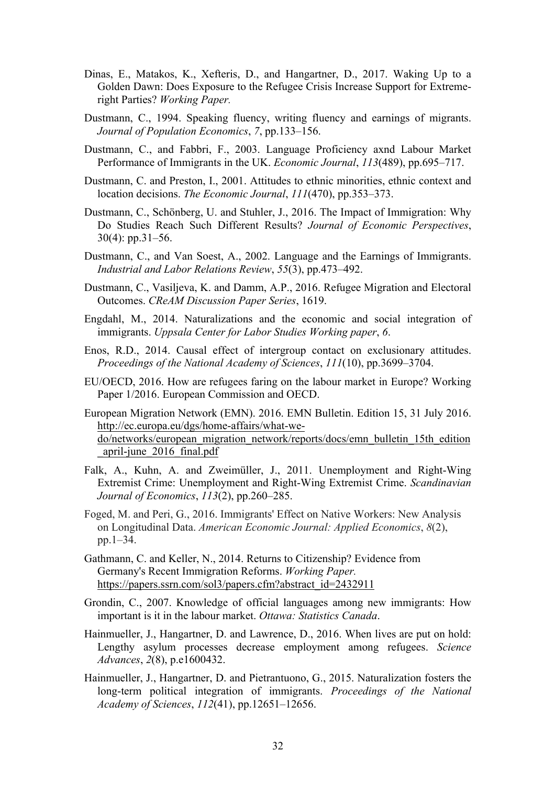- Dinas, E., Matakos, K., Xefteris, D., and Hangartner, D., 2017. Waking Up to a Golden Dawn: Does Exposure to the Refugee Crisis Increase Support for Extremeright Parties? *Working Paper.*
- Dustmann, C., 1994. Speaking fluency, writing fluency and earnings of migrants. *Journal of Population Economics*, *7*, pp.133–156.
- Dustmann, C., and Fabbri, F., 2003. Language Proficiency axnd Labour Market Performance of Immigrants in the UK. *Economic Journal*, *113*(489), pp.695–717.
- Dustmann, C. and Preston, I., 2001. Attitudes to ethnic minorities, ethnic context and location decisions. *The Economic Journal*, *111*(470), pp.353–373.
- Dustmann, C., Schönberg, U. and Stuhler, J., 2016. The Impact of Immigration: Why Do Studies Reach Such Different Results? *Journal of Economic Perspectives*, 30(4): pp.31–56.
- Dustmann, C., and Van Soest, A., 2002. Language and the Earnings of Immigrants. *Industrial and Labor Relations Review*, *55*(3), pp.473–492.
- Dustmann, C., Vasiljeva, K. and Damm, A.P., 2016. Refugee Migration and Electoral Outcomes. *CReAM Discussion Paper Series*, 1619.
- Engdahl, M., 2014. Naturalizations and the economic and social integration of immigrants. *Uppsala Center for Labor Studies Working paper*, *6*.
- Enos, R.D., 2014. Causal effect of intergroup contact on exclusionary attitudes. *Proceedings of the National Academy of Sciences*, *111*(10), pp.3699–3704.
- EU/OECD, 2016. How are refugees faring on the labour market in Europe? Working Paper 1/2016. European Commission and OECD.

European Migration Network (EMN). 2016. EMN Bulletin. Edition 15, 31 July 2016. http://ec.europa.eu/dgs/home-affairs/what-wedo/networks/european\_migration\_network/reports/docs/emn\_bulletin\_15th\_edition \_april-june\_2016\_final.pdf

- Falk, A., Kuhn, A. and Zweimüller, J., 2011. Unemployment and Right-Wing Extremist Crime: Unemployment and Right-Wing Extremist Crime. *Scandinavian Journal of Economics*, *113*(2), pp.260–285.
- Foged, M. and Peri, G., 2016. Immigrants' Effect on Native Workers: New Analysis on Longitudinal Data. *American Economic Journal: Applied Economics*, *8*(2), pp.1–34.
- Gathmann, C. and Keller, N., 2014. Returns to Citizenship? Evidence from Germany's Recent Immigration Reforms. *Working Paper.*  https://papers.ssrn.com/sol3/papers.cfm?abstract\_id=2432911
- Grondin, C., 2007. Knowledge of official languages among new immigrants: How important is it in the labour market. *Ottawa: Statistics Canada*.
- Hainmueller, J., Hangartner, D. and Lawrence, D., 2016. When lives are put on hold: Lengthy asylum processes decrease employment among refugees. *Science Advances*, *2*(8), p.e1600432.
- Hainmueller, J., Hangartner, D. and Pietrantuono, G., 2015. Naturalization fosters the long-term political integration of immigrants. *Proceedings of the National Academy of Sciences*, *112*(41), pp.12651–12656.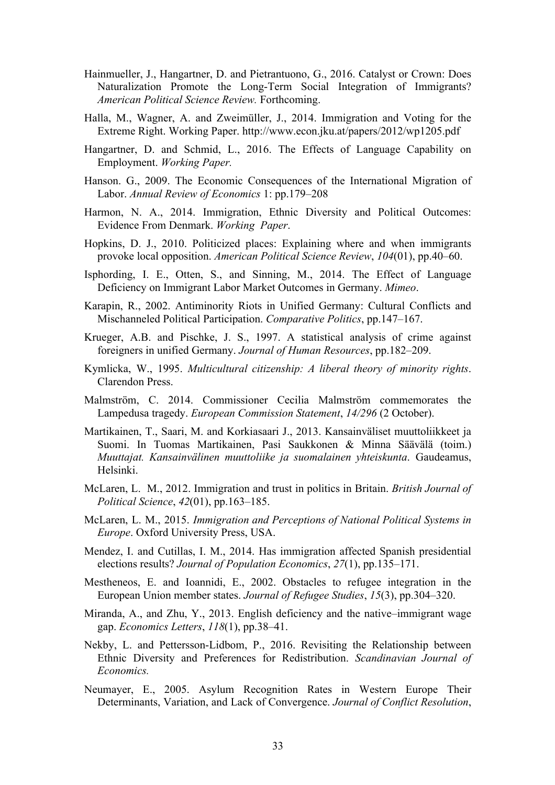- Hainmueller, J., Hangartner, D. and Pietrantuono, G., 2016. Catalyst or Crown: Does Naturalization Promote the Long-Term Social Integration of Immigrants? *American Political Science Review.* Forthcoming.
- Halla, M., Wagner, A. and Zweimüller, J., 2014. Immigration and Voting for the Extreme Right. Working Paper. http://www.econ.jku.at/papers/2012/wp1205.pdf
- Hangartner, D. and Schmid, L., 2016. The Effects of Language Capability on Employment. *Working Paper.*
- Hanson. G., 2009. The Economic Consequences of the International Migration of Labor. *Annual Review of Economics* 1: pp.179–208
- Harmon, N. A., 2014. Immigration, Ethnic Diversity and Political Outcomes: Evidence From Denmark. *Working Paper*.
- Hopkins, D. J., 2010. Politicized places: Explaining where and when immigrants provoke local opposition. *American Political Science Review*, *104*(01), pp.40–60.
- Isphording, I. E., Otten, S., and Sinning, M., 2014. The Effect of Language Deficiency on Immigrant Labor Market Outcomes in Germany. *Mimeo*.
- Karapin, R., 2002. Antiminority Riots in Unified Germany: Cultural Conflicts and Mischanneled Political Participation. *Comparative Politics*, pp.147–167.
- Krueger, A.B. and Pischke, J. S., 1997. A statistical analysis of crime against foreigners in unified Germany. *Journal of Human Resources*, pp.182–209.
- Kymlicka, W., 1995. *Multicultural citizenship: A liberal theory of minority rights*. Clarendon Press.
- Malmström, C. 2014. Commissioner Cecilia Malmström commemorates the Lampedusa tragedy. *European Commission Statement*, *14/296* (2 October).
- Martikainen, T., Saari, M. and Korkiasaari J., 2013. Kansainväliset muuttoliikkeet ja Suomi. In Tuomas Martikainen, Pasi Saukkonen & Minna Säävälä (toim.) *Muuttajat. Kansainvälinen muuttoliike ja suomalainen yhteiskunta*. Gaudeamus, Helsinki.
- McLaren, L. M., 2012. Immigration and trust in politics in Britain. *British Journal of Political Science*, *42*(01), pp.163–185.
- McLaren, L. M., 2015. *Immigration and Perceptions of National Political Systems in Europe*. Oxford University Press, USA.
- Mendez, I. and Cutillas, I. M., 2014. Has immigration affected Spanish presidential elections results? *Journal of Population Economics*, *27*(1), pp.135–171.
- Mestheneos, E. and Ioannidi, E., 2002. Obstacles to refugee integration in the European Union member states. *Journal of Refugee Studies*, *15*(3), pp.304–320.
- Miranda, A., and Zhu, Y., 2013. English deficiency and the native–immigrant wage gap. *Economics Letters*, *118*(1), pp.38–41.
- Nekby, L. and Pettersson-Lidbom, P., 2016. Revisiting the Relationship between Ethnic Diversity and Preferences for Redistribution. *Scandinavian Journal of Economics.*
- Neumayer, E., 2005. Asylum Recognition Rates in Western Europe Their Determinants, Variation, and Lack of Convergence. *Journal of Conflict Resolution*,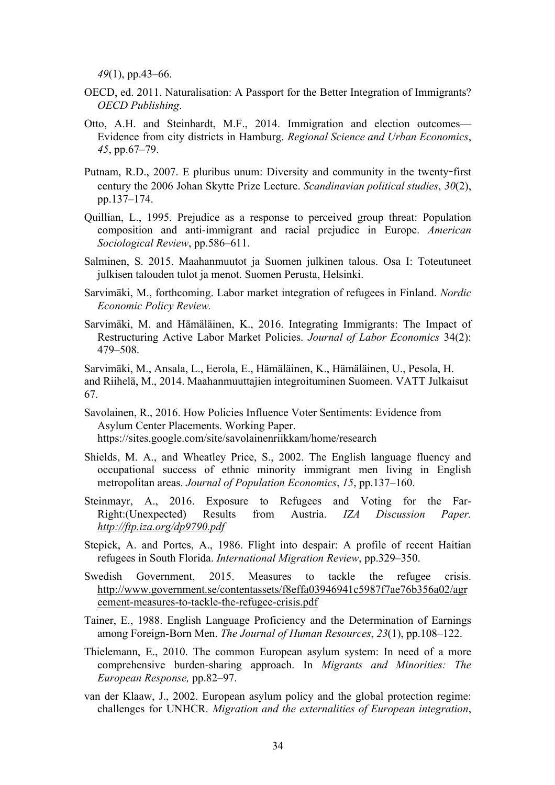*49*(1), pp.43–66.

- OECD, ed. 2011. Naturalisation: A Passport for the Better Integration of Immigrants? *OECD Publishing*.
- Otto, A.H. and Steinhardt, M.F., 2014. Immigration and election outcomes— Evidence from city districts in Hamburg. *Regional Science and Urban Economics*, *45*, pp.67–79.
- Putnam, R.D., 2007. E pluribus unum: Diversity and community in the twenty**-**first century the 2006 Johan Skytte Prize Lecture. *Scandinavian political studies*, *30*(2), pp.137–174.
- Quillian, L., 1995. Prejudice as a response to perceived group threat: Population composition and anti-immigrant and racial prejudice in Europe. *American Sociological Review*, pp.586–611.
- Salminen, S. 2015. Maahanmuutot ja Suomen julkinen talous. Osa I: Toteutuneet julkisen talouden tulot ja menot. Suomen Perusta, Helsinki.
- Sarvimäki, M., forthcoming. Labor market integration of refugees in Finland. *Nordic Economic Policy Review.*
- Sarvimäki, M. and Hämäläinen, K., 2016. Integrating Immigrants: The Impact of Restructuring Active Labor Market Policies. *Journal of Labor Economics* 34(2): 479–508.

Sarvimäki, M., Ansala, L., Eerola, E., Hämäläinen, K., Hämäläinen, U., Pesola, H. and Riihelä, M., 2014. Maahanmuuttajien integroituminen Suomeen. VATT Julkaisut 67.

Savolainen, R., 2016. How Policies Influence Voter Sentiments: Evidence from Asylum Center Placements. Working Paper. https://sites.google.com/site/savolainenriikkam/home/research

Shields, M. A., and Wheatley Price, S., 2002. The English language fluency and occupational success of ethnic minority immigrant men living in English metropolitan areas. *Journal of Population Economics*, *15*, pp.137–160.

- Steinmayr, A., 2016. Exposure to Refugees and Voting for the Far-Right:(Unexpected) Results from Austria. *IZA Discussion Paper. http://ftp.iza.org/dp9790.pdf*
- Stepick, A. and Portes, A., 1986. Flight into despair: A profile of recent Haitian refugees in South Florida. *International Migration Review*, pp.329–350.
- Swedish Government, 2015. Measures to tackle the refugee crisis. http://www.government.se/contentassets/f8effa03946941c5987f7ae76b356a02/agr eement-measures-to-tackle-the-refugee-crisis.pdf
- Tainer, E., 1988. English Language Proficiency and the Determination of Earnings among Foreign-Born Men. *The Journal of Human Resources*, *23*(1), pp.108–122.
- Thielemann, E., 2010. The common European asylum system: In need of a more comprehensive burden-sharing approach. In *Migrants and Minorities: The European Response,* pp.82–97.
- van der Klaaw, J., 2002. European asylum policy and the global protection regime: challenges for UNHCR. *Migration and the externalities of European integration*,